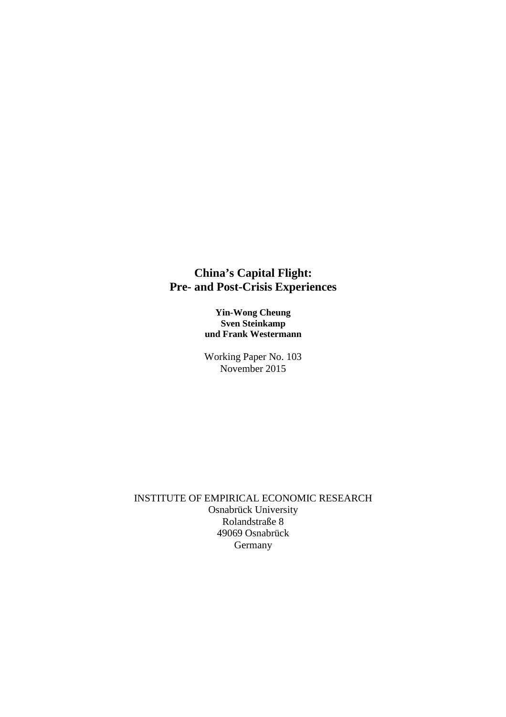## **China's Capital Flight: Pre- and Post-Crisis Experiences**

**Yin-Wong Cheung Sven Steinkamp und Frank Westermann**

Working Paper No. 103 November 2015

INSTITUTE OF EMPIRICAL ECONOMIC RESEARCH Osnabrück University Rolandstraße 8 49069 Osnabrück **Germany**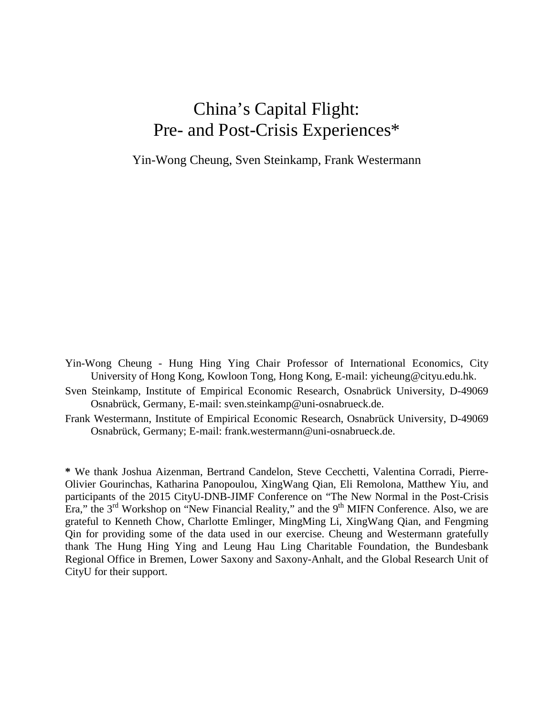## China's Capital Flight: Pre- and Post-Crisis Experiences\*

Yin-Wong Cheung, Sven Steinkamp, Frank Westermann

- Yin-Wong Cheung Hung Hing Ying Chair Professor of International Economics, City University of Hong Kong, Kowloon Tong, Hong Kong, E-mail: yicheung@cityu.edu.hk.
- Sven Steinkamp, Institute of Empirical Economic Research, Osnabrück University, D-49069 Osnabrück, Germany, E-mail: sven.steinkamp@uni-osnabrueck.de.
- Frank Westermann, Institute of Empirical Economic Research, Osnabrück University, D-49069 Osnabrück, Germany; E-mail: frank.westermann@uni-osnabrueck.de.

**\*** We thank Joshua Aizenman, Bertrand Candelon, Steve Cecchetti, Valentina Corradi, Pierre-Olivier Gourinchas, Katharina Panopoulou, XingWang Qian, Eli Remolona, Matthew Yiu, and participants of the 2015 CityU-DNB-JIMF Conference on "The New Normal in the Post-Crisis Era," the  $3<sup>rd</sup>$  Workshop on "New Financial Reality," and the  $9<sup>th</sup>$  MIFN Conference. Also, we are grateful to Kenneth Chow, Charlotte Emlinger, MingMing Li, XingWang Qian, and Fengming Qin for providing some of the data used in our exercise. Cheung and Westermann gratefully thank The Hung Hing Ying and Leung Hau Ling Charitable Foundation, the Bundesbank Regional Office in Bremen, Lower Saxony and Saxony-Anhalt, and the Global Research Unit of CityU for their support.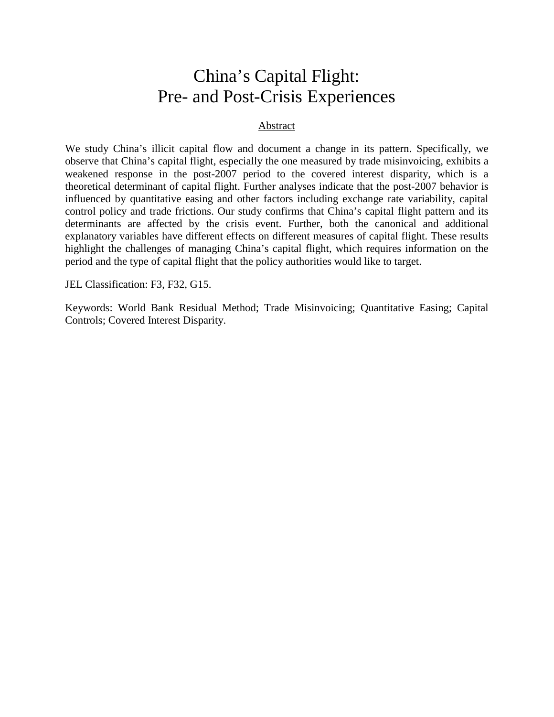# China's Capital Flight: Pre- and Post-Crisis Experiences

## Abstract

We study China's illicit capital flow and document a change in its pattern. Specifically, we observe that China's capital flight, especially the one measured by trade misinvoicing, exhibits a weakened response in the post-2007 period to the covered interest disparity, which is a theoretical determinant of capital flight. Further analyses indicate that the post-2007 behavior is influenced by quantitative easing and other factors including exchange rate variability, capital control policy and trade frictions. Our study confirms that China's capital flight pattern and its determinants are affected by the crisis event. Further, both the canonical and additional explanatory variables have different effects on different measures of capital flight. These results highlight the challenges of managing China's capital flight, which requires information on the period and the type of capital flight that the policy authorities would like to target.

JEL Classification: F3, F32, G15.

Keywords: World Bank Residual Method; Trade Misinvoicing; Quantitative Easing; Capital Controls; Covered Interest Disparity.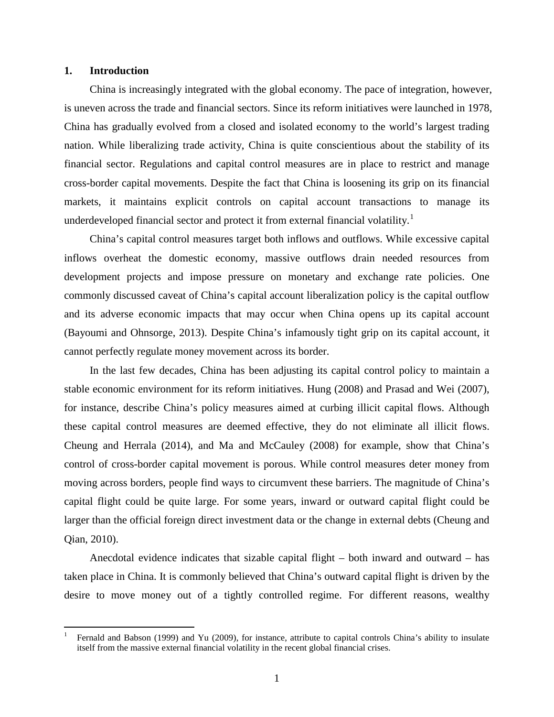#### **1. Introduction**

China is increasingly integrated with the global economy. The pace of integration, however, is uneven across the trade and financial sectors. Since its reform initiatives were launched in 1978, China has gradually evolved from a closed and isolated economy to the world's largest trading nation. While liberalizing trade activity, China is quite conscientious about the stability of its financial sector. Regulations and capital control measures are in place to restrict and manage cross-border capital movements. Despite the fact that China is loosening its grip on its financial markets, it maintains explicit controls on capital account transactions to manage its underdeveloped financial sector and protect it from external financial volatility.<sup>[1](#page-3-0)</sup>

China's capital control measures target both inflows and outflows. While excessive capital inflows overheat the domestic economy, massive outflows drain needed resources from development projects and impose pressure on monetary and exchange rate policies. One commonly discussed caveat of China's capital account liberalization policy is the capital outflow and its adverse economic impacts that may occur when China opens up its capital account (Bayoumi and Ohnsorge, 2013). Despite China's infamously tight grip on its capital account, it cannot perfectly regulate money movement across its border.

In the last few decades, China has been adjusting its capital control policy to maintain a stable economic environment for its reform initiatives. Hung (2008) and Prasad and Wei (2007), for instance, describe China's policy measures aimed at curbing illicit capital flows. Although these capital control measures are deemed effective, they do not eliminate all illicit flows. Cheung and Herrala (2014), and Ma and McCauley (2008) for example, show that China's control of cross-border capital movement is porous. While control measures deter money from moving across borders, people find ways to circumvent these barriers. The magnitude of China's capital flight could be quite large. For some years, inward or outward capital flight could be larger than the official foreign direct investment data or the change in external debts (Cheung and Qian, 2010).

Anecdotal evidence indicates that sizable capital flight – both inward and outward – has taken place in China. It is commonly believed that China's outward capital flight is driven by the desire to move money out of a tightly controlled regime. For different reasons, wealthy

<span id="page-3-0"></span> <sup>1</sup> Fernald and Babson (1999) and Yu (2009), for instance, attribute to capital controls China's ability to insulate itself from the massive external financial volatility in the recent global financial crises.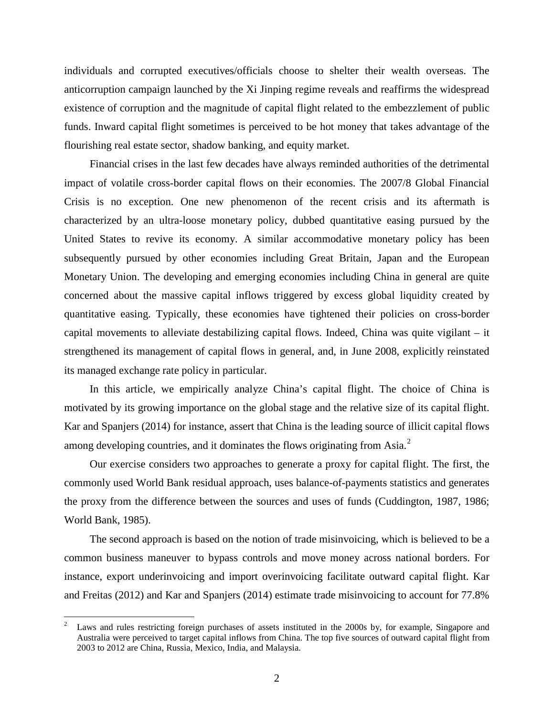individuals and corrupted executives/officials choose to shelter their wealth overseas. The anticorruption campaign launched by the Xi Jinping regime reveals and reaffirms the widespread existence of corruption and the magnitude of capital flight related to the embezzlement of public funds. Inward capital flight sometimes is perceived to be hot money that takes advantage of the flourishing real estate sector, shadow banking, and equity market.

Financial crises in the last few decades have always reminded authorities of the detrimental impact of volatile cross-border capital flows on their economies. The 2007/8 Global Financial Crisis is no exception. One new phenomenon of the recent crisis and its aftermath is characterized by an ultra-loose monetary policy, dubbed quantitative easing pursued by the United States to revive its economy. A similar accommodative monetary policy has been subsequently pursued by other economies including Great Britain, Japan and the European Monetary Union. The developing and emerging economies including China in general are quite concerned about the massive capital inflows triggered by excess global liquidity created by quantitative easing. Typically, these economies have tightened their policies on cross-border capital movements to alleviate destabilizing capital flows. Indeed, China was quite vigilant – it strengthened its management of capital flows in general, and, in June 2008, explicitly reinstated its managed exchange rate policy in particular.

In this article, we empirically analyze China's capital flight. The choice of China is motivated by its growing importance on the global stage and the relative size of its capital flight. Kar and Spanjers (2014) for instance, assert that China is the leading source of illicit capital flows among developing countries, and it dominates the flows originating from Asia.<sup>[2](#page-4-0)</sup>

Our exercise considers two approaches to generate a proxy for capital flight. The first, the commonly used World Bank residual approach, uses balance-of-payments statistics and generates the proxy from the difference between the sources and uses of funds (Cuddington, 1987, 1986; World Bank, 1985).

The second approach is based on the notion of trade misinvoicing, which is believed to be a common business maneuver to bypass controls and move money across national borders. For instance, export underinvoicing and import overinvoicing facilitate outward capital flight. Kar and Freitas (2012) and Kar and Spanjers (2014) estimate trade misinvoicing to account for 77.8%

<span id="page-4-0"></span><sup>&</sup>lt;sup>2</sup> Laws and rules restricting foreign purchases of assets instituted in the 2000s by, for example, Singapore and Australia were perceived to target capital inflows from China. The top five sources of outward capital flight from 2003 to 2012 are China, Russia, Mexico, India, and Malaysia.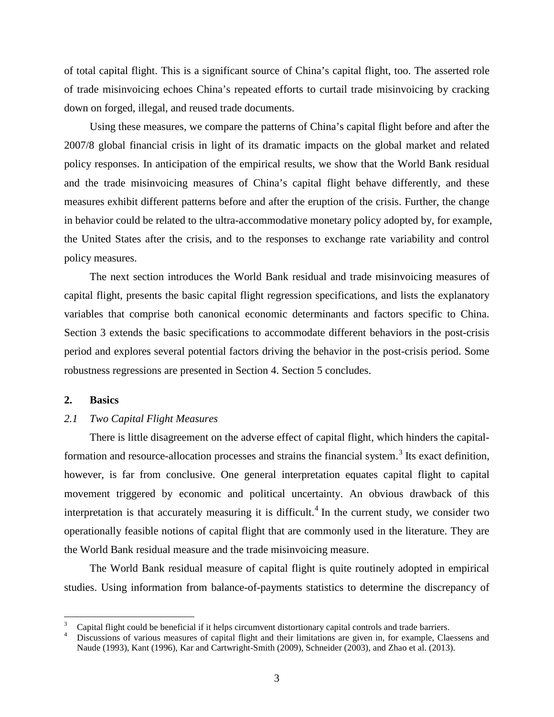of total capital flight. This is a significant source of China's capital flight, too. The asserted role of trade misinvoicing echoes China's repeated efforts to curtail trade misinvoicing by cracking down on forged, illegal, and reused trade documents.

Using these measures, we compare the patterns of China's capital flight before and after the 2007/8 global financial crisis in light of its dramatic impacts on the global market and related policy responses. In anticipation of the empirical results, we show that the World Bank residual and the trade misinvoicing measures of China's capital flight behave differently, and these measures exhibit different patterns before and after the eruption of the crisis. Further, the change in behavior could be related to the ultra-accommodative monetary policy adopted by, for example, the United States after the crisis, and to the responses to exchange rate variability and control policy measures.

The next section introduces the World Bank residual and trade misinvoicing measures of capital flight, presents the basic capital flight regression specifications, and lists the explanatory variables that comprise both canonical economic determinants and factors specific to China. Section 3 extends the basic specifications to accommodate different behaviors in the post-crisis period and explores several potential factors driving the behavior in the post-crisis period. Some robustness regressions are presented in Section 4. Section 5 concludes.

### **2. Basics**

## *2.1 Two Capital Flight Measures*

There is little disagreement on the adverse effect of capital flight, which hinders the capital-formation and resource-allocation processes and strains the financial system.<sup>[3](#page-5-0)</sup> Its exact definition, however, is far from conclusive. One general interpretation equates capital flight to capital movement triggered by economic and political uncertainty. An obvious drawback of this interpretation is that accurately measuring it is difficult.<sup>[4](#page-5-1)</sup> In the current study, we consider two operationally feasible notions of capital flight that are commonly used in the literature. They are the World Bank residual measure and the trade misinvoicing measure.

The World Bank residual measure of capital flight is quite routinely adopted in empirical studies. Using information from balance-of-payments statistics to determine the discrepancy of

<span id="page-5-1"></span><span id="page-5-0"></span><sup>&</sup>lt;sup>3</sup> Capital flight could be beneficial if it helps circumvent distortionary capital controls and trade barriers.<br><sup>4</sup> Discussions of various measures of capital flight and their limitations are given in, for example, Claess Naude (1993), Kant (1996), Kar and Cartwright-Smith (2009), Schneider (2003), and Zhao et al. (2013).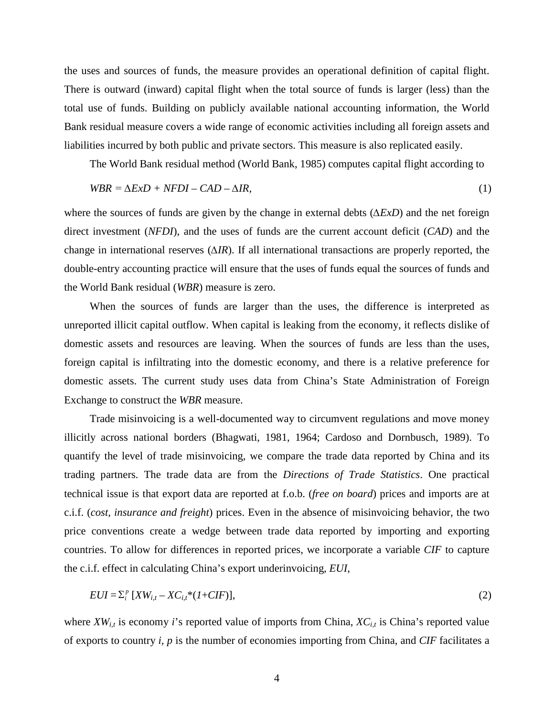the uses and sources of funds, the measure provides an operational definition of capital flight. There is outward (inward) capital flight when the total source of funds is larger (less) than the total use of funds. Building on publicly available national accounting information, the World Bank residual measure covers a wide range of economic activities including all foreign assets and liabilities incurred by both public and private sectors. This measure is also replicated easily.

The World Bank residual method (World Bank, 1985) computes capital flight according to

$$
WBR = \Delta ExD + NFDI - CAD - \Delta IR,\tag{1}
$$

where the sources of funds are given by the change in external debts (*∆ExD*) and the net foreign direct investment (*NFDI*), and the uses of funds are the current account deficit (*CAD*) and the change in international reserves (*∆IR*). If all international transactions are properly reported, the double-entry accounting practice will ensure that the uses of funds equal the sources of funds and the World Bank residual (*WBR*) measure is zero.

When the sources of funds are larger than the uses, the difference is interpreted as unreported illicit capital outflow. When capital is leaking from the economy, it reflects dislike of domestic assets and resources are leaving. When the sources of funds are less than the uses, foreign capital is infiltrating into the domestic economy, and there is a relative preference for domestic assets. The current study uses data from China's State Administration of Foreign Exchange to construct the *WBR* measure.

Trade misinvoicing is a well-documented way to circumvent regulations and move money illicitly across national borders (Bhagwati, 1981, 1964; Cardoso and Dornbusch, 1989). To quantify the level of trade misinvoicing, we compare the trade data reported by China and its trading partners. The trade data are from the *Directions of Trade Statistics*. One practical technical issue is that export data are reported at f.o.b. (*free on board*) prices and imports are at c.i.f. (*cost, insurance and freight*) prices. Even in the absence of misinvoicing behavior, the two price conventions create a wedge between trade data reported by importing and exporting countries. To allow for differences in reported prices, we incorporate a variable *CIF* to capture the c.i.f. effect in calculating China's export underinvoicing, *EUI*,

$$
EUI = \sum_{i}^{p} [XW_{i,t} - XC_{i,t} * (1 + CIF)],
$$
\n
$$
(2)
$$

where  $XW_{i,t}$  is economy *i*'s reported value of imports from China,  $XC_{i,t}$  is China's reported value of exports to country *i, p* is the number of economies importing from China, and *CIF* facilitates a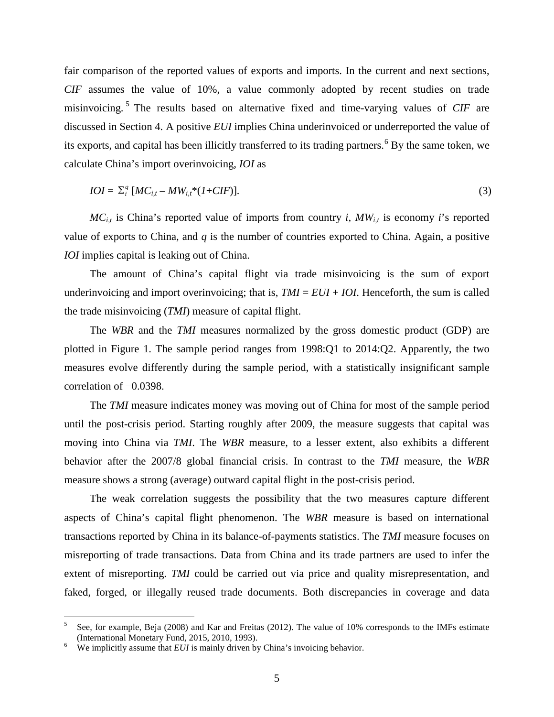fair comparison of the reported values of exports and imports. In the current and next sections, *CIF* assumes the value of 10%, a value commonly adopted by recent studies on trade misinvoicing. [5](#page-7-0) The results based on alternative fixed and time-varying values of *CIF* are discussed in Section 4. A positive *EUI* implies China underinvoiced or underreported the value of its exports, and capital has been illicitly transferred to its trading partners.<sup>[6](#page-7-1)</sup> By the same token, we calculate China's import overinvoicing, *IOI* as

$$
IOI = \sum_{i}^{q} [MC_{i,t} - MW_{i,t} * (1 + CIF)].
$$
\n(3)

 $MC_{i,t}$  is China's reported value of imports from country *i*,  $MW_{i,t}$  is economy *i*'s reported value of exports to China, and *q* is the number of countries exported to China. Again, a positive *IOI* implies capital is leaking out of China.

The amount of China's capital flight via trade misinvoicing is the sum of export underinvoicing and import overinvoicing; that is,  $TMI = EUI + IOI$ . Henceforth, the sum is called the trade misinvoicing (*TMI*) measure of capital flight.

The *WBR* and the *TMI* measures normalized by the gross domestic product (GDP) are plotted in Figure 1. The sample period ranges from 1998:Q1 to 2014:Q2. Apparently, the two measures evolve differently during the sample period, with a statistically insignificant sample correlation of −0.0398.

The *TMI* measure indicates money was moving out of China for most of the sample period until the post-crisis period. Starting roughly after 2009, the measure suggests that capital was moving into China via *TMI*. The *WBR* measure, to a lesser extent, also exhibits a different behavior after the 2007/8 global financial crisis. In contrast to the *TMI* measure, the *WBR* measure shows a strong (average) outward capital flight in the post-crisis period.

The weak correlation suggests the possibility that the two measures capture different aspects of China's capital flight phenomenon. The *WBR* measure is based on international transactions reported by China in its balance-of-payments statistics. The *TMI* measure focuses on misreporting of trade transactions. Data from China and its trade partners are used to infer the extent of misreporting. *TMI* could be carried out via price and quality misrepresentation, and faked, forged, or illegally reused trade documents. Both discrepancies in coverage and data

<span id="page-7-0"></span><sup>&</sup>lt;sup>5</sup> See, for example, Beja (2008) and Kar and Freitas (2012). The value of 10% corresponds to the IMFs estimate (International Monetary Fund, 2015, 2010, 1993).

<span id="page-7-1"></span>We implicitly assume that *EUI* is mainly driven by China's invoicing behavior.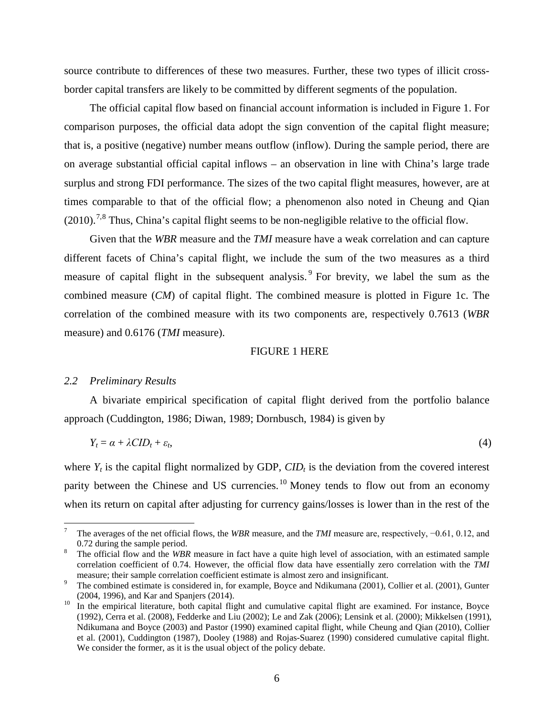source contribute to differences of these two measures. Further, these two types of illicit crossborder capital transfers are likely to be committed by different segments of the population.

The official capital flow based on financial account information is included in Figure 1. For comparison purposes, the official data adopt the sign convention of the capital flight measure; that is, a positive (negative) number means outflow (inflow). During the sample period, there are on average substantial official capital inflows – an observation in line with China's large trade surplus and strong FDI performance. The sizes of the two capital flight measures, however, are at times comparable to that of the official flow; a phenomenon also noted in Cheung and Qian  $(2010).$ <sup>[7](#page-8-0),[8](#page-8-1)</sup> Thus, China's capital flight seems to be non-negligible relative to the official flow.

Given that the *WBR* measure and the *TMI* measure have a weak correlation and can capture different facets of China's capital flight, we include the sum of the two measures as a third measure of capital flight in the subsequent analysis. [9](#page-8-2) For brevity, we label the sum as the combined measure (*CM*) of capital flight. The combined measure is plotted in Figure 1c. The correlation of the combined measure with its two components are, respectively 0.7613 (*WBR* measure) and 0.6176 (*TMI* measure).

#### FIGURE 1 HERE

#### *2.2 Preliminary Results*

A bivariate empirical specification of capital flight derived from the portfolio balance approach (Cuddington, 1986; Diwan, 1989; Dornbusch, 1984) is given by

$$
Y_t = \alpha + \lambda CID_t + \varepsilon_t, \tag{4}
$$

where  $Y_t$  is the capital flight normalized by GDP,  $CID_t$  is the deviation from the covered interest parity between the Chinese and US currencies.<sup>[10](#page-8-3)</sup> Money tends to flow out from an economy when its return on capital after adjusting for currency gains/losses is lower than in the rest of the

<span id="page-8-0"></span>The averages of the net official flows, the *WBR* measure, and the *TMI* measure are, respectively, −0.61, 0.12, and 0.72 during the sample period.

<span id="page-8-1"></span>The official flow and the *WBR* measure in fact have a quite high level of association, with an estimated sample correlation coefficient of 0.74. However, the official flow data have essentially zero correlation with the *TMI*

<span id="page-8-2"></span>The combined estimate is considered in, for example, Boyce and Ndikumana (2001), Collier et al. (2001), Gunter (2004, 1996), and Kar and Spanjers (2014).<br><sup>10</sup> In the empirical literature, both capital flight and cumulative capital flight are examined. For instance, Boyce

<span id="page-8-3"></span><sup>(1992),</sup> Cerra et al. (2008), Fedderke and Liu (2002); Le and Zak (2006); Lensink et al. (2000); Mikkelsen (1991), Ndikumana and Boyce (2003) and Pastor (1990) examined capital flight, while Cheung and Qian (2010), Collier et al. (2001), Cuddington (1987), Dooley (1988) and Rojas-Suarez (1990) considered cumulative capital flight. We consider the former, as it is the usual object of the policy debate.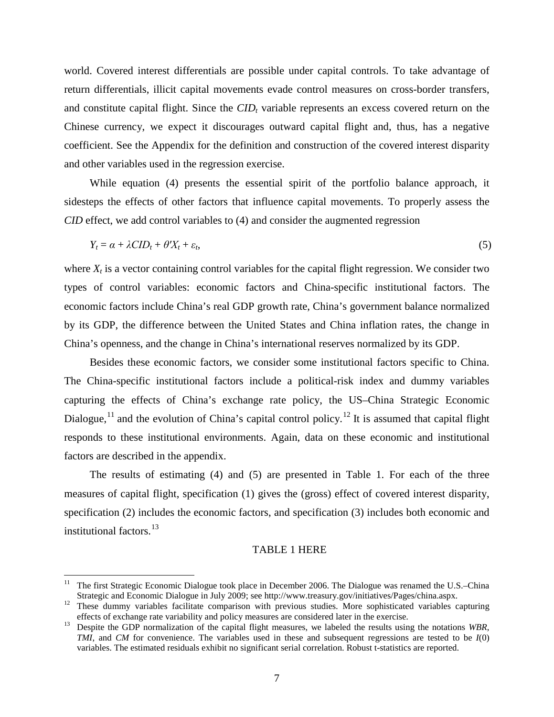world. Covered interest differentials are possible under capital controls. To take advantage of return differentials, illicit capital movements evade control measures on cross-border transfers, and constitute capital flight. Since the  $CID<sub>t</sub>$  variable represents an excess covered return on the Chinese currency, we expect it discourages outward capital flight and, thus, has a negative coefficient. See the Appendix for the definition and construction of the covered interest disparity and other variables used in the regression exercise.

While equation (4) presents the essential spirit of the portfolio balance approach, it sidesteps the effects of other factors that influence capital movements. To properly assess the *CID* effect, we add control variables to (4) and consider the augmented regression

$$
Y_t = \alpha + \lambda CID_t + \theta' X_t + \varepsilon_t, \tag{5}
$$

where  $X_t$  is a vector containing control variables for the capital flight regression. We consider two types of control variables: economic factors and China-specific institutional factors. The economic factors include China's real GDP growth rate, China's government balance normalized by its GDP, the difference between the United States and China inflation rates, the change in China's openness, and the change in China's international reserves normalized by its GDP.

Besides these economic factors, we consider some institutional factors specific to China. The China-specific institutional factors include a political-risk index and dummy variables capturing the effects of China's exchange rate policy, the US–China Strategic Economic Dialogue,<sup>[11](#page-9-0)</sup> and the evolution of China's capital control policy.<sup>[12](#page-9-1)</sup> It is assumed that capital flight responds to these institutional environments. Again, data on these economic and institutional factors are described in the appendix.

The results of estimating (4) and (5) are presented in Table 1. For each of the three measures of capital flight, specification (1) gives the (gross) effect of covered interest disparity, specification (2) includes the economic factors, and specification (3) includes both economic and institutional factors.[13](#page-9-2)

## TABLE 1 HERE

<span id="page-9-0"></span> <sup>11</sup> The first Strategic Economic Dialogue took place in December 2006. The Dialogue was renamed the U.S.–China Strategic and Economic Dialogue in July 2009; see http://www.treasury.gov/initiatives/Pages/china.aspx. <sup>12</sup> These dummy variables facilitate comparison with previous studies. More sophisticated variables capturing

<span id="page-9-1"></span>

<span id="page-9-2"></span>effects of exchange rate variability and policy measures are considered later in the exercise. <sup>13</sup> Despite the GDP normalization of the capital flight measures, we labeled the results using the notations *WBR*, *TMI*, and *CM* for convenience. The variables used in these and subsequent regressions are tested to be *I*(0) variables. The estimated residuals exhibit no significant serial correlation. Robust t-statistics are reported.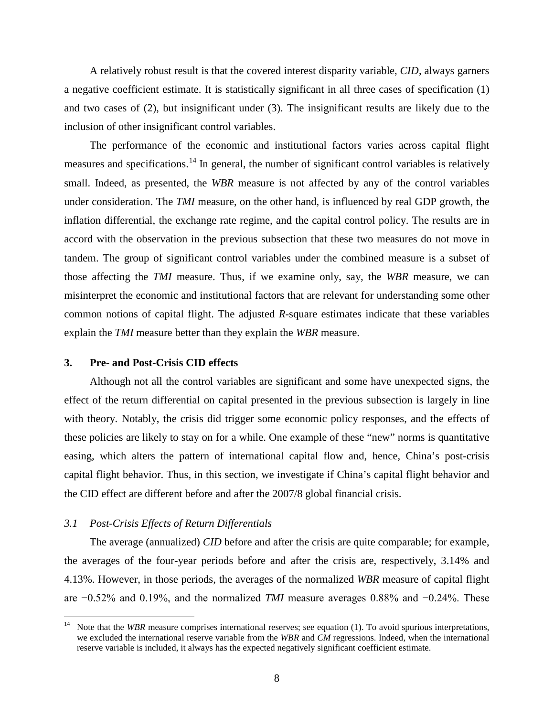A relatively robust result is that the covered interest disparity variable, *CID*, always garners a negative coefficient estimate. It is statistically significant in all three cases of specification (1) and two cases of (2), but insignificant under (3). The insignificant results are likely due to the inclusion of other insignificant control variables.

The performance of the economic and institutional factors varies across capital flight measures and specifications.<sup>[14](#page-10-0)</sup> In general, the number of significant control variables is relatively small. Indeed, as presented, the *WBR* measure is not affected by any of the control variables under consideration. The *TMI* measure, on the other hand, is influenced by real GDP growth, the inflation differential, the exchange rate regime, and the capital control policy. The results are in accord with the observation in the previous subsection that these two measures do not move in tandem. The group of significant control variables under the combined measure is a subset of those affecting the *TMI* measure. Thus, if we examine only, say, the *WBR* measure, we can misinterpret the economic and institutional factors that are relevant for understanding some other common notions of capital flight. The adjusted *R*-square estimates indicate that these variables explain the *TMI* measure better than they explain the *WBR* measure.

## **3. Pre- and Post-Crisis CID effects**

Although not all the control variables are significant and some have unexpected signs, the effect of the return differential on capital presented in the previous subsection is largely in line with theory. Notably, the crisis did trigger some economic policy responses, and the effects of these policies are likely to stay on for a while. One example of these "new" norms is quantitative easing, which alters the pattern of international capital flow and, hence, China's post-crisis capital flight behavior. Thus, in this section, we investigate if China's capital flight behavior and the CID effect are different before and after the 2007/8 global financial crisis.

#### *3.1 Post-Crisis Effects of Return Differentials*

The average (annualized) *CID* before and after the crisis are quite comparable; for example, the averages of the four-year periods before and after the crisis are, respectively, 3.14% and 4.13%. However, in those periods, the averages of the normalized *WBR* measure of capital flight are −0.52% and 0.19%, and the normalized *TMI* measure averages 0.88% and −0.24%. These

<span id="page-10-0"></span><sup>&</sup>lt;sup>14</sup> Note that the *WBR* measure comprises international reserves; see equation (1). To avoid spurious interpretations, we excluded the international reserve variable from the *WBR* and *CM* regressions. Indeed, when the international reserve variable is included, it always has the expected negatively significant coefficient estimate.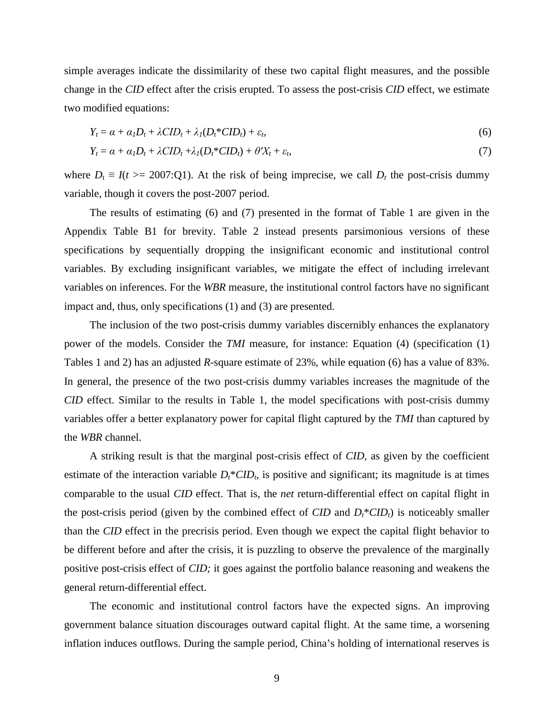simple averages indicate the dissimilarity of these two capital flight measures, and the possible change in the *CID* effect after the crisis erupted. To assess the post-crisis *CID* effect, we estimate two modified equations:

$$
Y_t = \alpha + \alpha_l D_t + \lambda C I D_t + \lambda_l (D_t^* C I D_t) + \varepsilon_t, \tag{6}
$$

$$
Y_t = \alpha + \alpha_I D_t + \lambda C I D_t + \lambda_I (D_t^* C I D_t) + \theta' X_t + \varepsilon_t,
$$
\n<sup>(7)</sup>

where  $D_t \equiv I(t) = 2007$ :Q1). At the risk of being imprecise, we call  $D_t$  the post-crisis dummy variable, though it covers the post-2007 period.

The results of estimating (6) and (7) presented in the format of Table 1 are given in the Appendix Table B1 for brevity. Table 2 instead presents parsimonious versions of these specifications by sequentially dropping the insignificant economic and institutional control variables. By excluding insignificant variables, we mitigate the effect of including irrelevant variables on inferences. For the *WBR* measure, the institutional control factors have no significant impact and, thus, only specifications (1) and (3) are presented.

The inclusion of the two post-crisis dummy variables discernibly enhances the explanatory power of the models. Consider the *TMI* measure, for instance: Equation (4) (specification (1) Tables 1 and 2) has an adjusted *R*-square estimate of 23%, while equation (6) has a value of 83%. In general, the presence of the two post-crisis dummy variables increases the magnitude of the *CID* effect. Similar to the results in Table 1, the model specifications with post-crisis dummy variables offer a better explanatory power for capital flight captured by the *TMI* than captured by the *WBR* channel.

A striking result is that the marginal post-crisis effect of *CID*, as given by the coefficient estimate of the interaction variable  $D_t$ <sup>\*</sup>*CID<sub>t</sub>*, is positive and significant; its magnitude is at times comparable to the usual *CID* effect. That is, the *net* return-differential effect on capital flight in the post-crisis period (given by the combined effect of *CID* and  $D_t^*CID_t$ ) is noticeably smaller than the *CID* effect in the precrisis period. Even though we expect the capital flight behavior to be different before and after the crisis, it is puzzling to observe the prevalence of the marginally positive post-crisis effect of *CID;* it goes against the portfolio balance reasoning and weakens the general return-differential effect.

The economic and institutional control factors have the expected signs. An improving government balance situation discourages outward capital flight. At the same time, a worsening inflation induces outflows. During the sample period, China's holding of international reserves is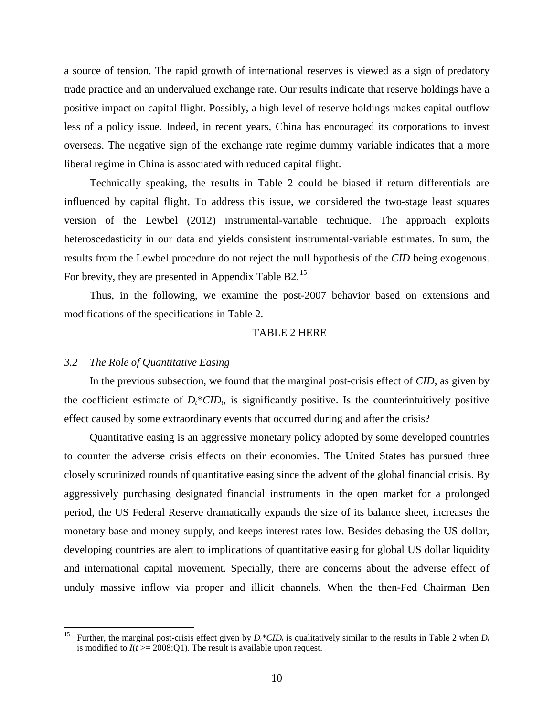a source of tension. The rapid growth of international reserves is viewed as a sign of predatory trade practice and an undervalued exchange rate. Our results indicate that reserve holdings have a positive impact on capital flight. Possibly, a high level of reserve holdings makes capital outflow less of a policy issue. Indeed, in recent years, China has encouraged its corporations to invest overseas. The negative sign of the exchange rate regime dummy variable indicates that a more liberal regime in China is associated with reduced capital flight.

Technically speaking, the results in Table 2 could be biased if return differentials are influenced by capital flight. To address this issue, we considered the two-stage least squares version of the Lewbel (2012) instrumental-variable technique. The approach exploits heteroscedasticity in our data and yields consistent instrumental-variable estimates. In sum, the results from the Lewbel procedure do not reject the null hypothesis of the *CID* being exogenous. For brevity, they are presented in Appendix Table B2.[15](#page-12-0)

Thus, in the following, we examine the post-2007 behavior based on extensions and modifications of the specifications in Table 2.

#### TABLE 2 HERE

#### *3.2 The Role of Quantitative Easing*

In the previous subsection, we found that the marginal post-crisis effect of *CID*, as given by the coefficient estimate of  $D_t^*CID_b$  is significantly positive. Is the counterintuitively positive effect caused by some extraordinary events that occurred during and after the crisis?

Quantitative easing is an aggressive monetary policy adopted by some developed countries to counter the adverse crisis effects on their economies. The United States has pursued three closely scrutinized rounds of quantitative easing since the advent of the global financial crisis. By aggressively purchasing designated financial instruments in the open market for a prolonged period, the US Federal Reserve dramatically expands the size of its balance sheet, increases the monetary base and money supply, and keeps interest rates low. Besides debasing the US dollar, developing countries are alert to implications of quantitative easing for global US dollar liquidity and international capital movement. Specially, there are concerns about the adverse effect of unduly massive inflow via proper and illicit channels. When the then-Fed Chairman Ben

<span id="page-12-0"></span><sup>&</sup>lt;sup>15</sup> Further, the marginal post-crisis effect given by  $D_t^*CID_t$  is qualitatively similar to the results in Table 2 when  $D_t$ is modified to  $I(t) = 2008$ :Q1). The result is available upon request.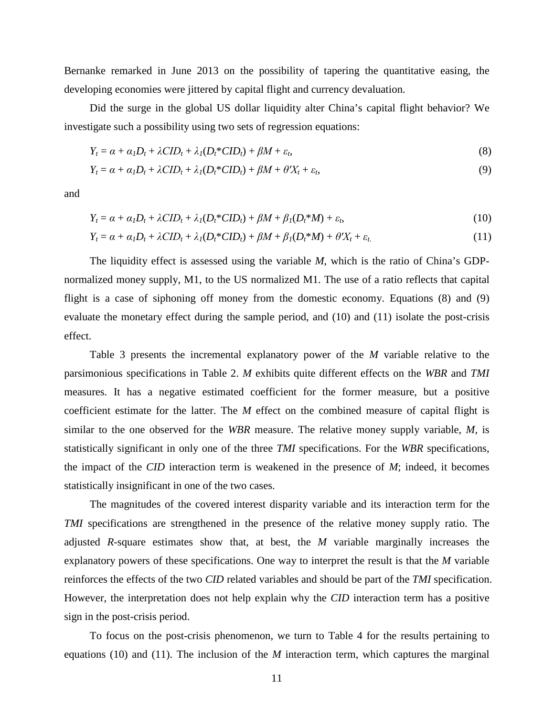Bernanke remarked in June 2013 on the possibility of tapering the quantitative easing, the developing economies were jittered by capital flight and currency devaluation.

Did the surge in the global US dollar liquidity alter China's capital flight behavior? We investigate such a possibility using two sets of regression equations:

$$
Y_t = \alpha + \alpha_I D_t + \lambda C I D_t + \lambda_I (D_t^* C I D_t) + \beta M + \varepsilon_t,
$$
\n(8)

$$
Y_t = \alpha + \alpha_I D_t + \lambda C I D_t + \lambda_I (D_t^* C I D_t) + \beta M + \theta' X_t + \varepsilon_t,
$$
\n
$$
(9)
$$

and

$$
Y_t = \alpha + \alpha_I D_t + \lambda C I D_t + \lambda_I (D_t^* C I D_t) + \beta M + \beta_I (D_t^* M) + \varepsilon_t,
$$
\n(10)

$$
Y_t = \alpha + \alpha_I D_t + \lambda C I D_t + \lambda_I (D_t^* C I D_t) + \beta M + \beta_I (D_t^* M) + \theta' X_t + \varepsilon_t. \tag{11}
$$

The liquidity effect is assessed using the variable *M*, which is the ratio of China's GDPnormalized money supply, M1, to the US normalized M1. The use of a ratio reflects that capital flight is a case of siphoning off money from the domestic economy. Equations (8) and (9) evaluate the monetary effect during the sample period, and (10) and (11) isolate the post-crisis effect.

Table 3 presents the incremental explanatory power of the *M* variable relative to the parsimonious specifications in Table 2. *M* exhibits quite different effects on the *WBR* and *TMI* measures. It has a negative estimated coefficient for the former measure, but a positive coefficient estimate for the latter. The *M* effect on the combined measure of capital flight is similar to the one observed for the *WBR* measure. The relative money supply variable, *M,* is statistically significant in only one of the three *TMI* specifications. For the *WBR* specifications, the impact of the *CID* interaction term is weakened in the presence of *M*; indeed, it becomes statistically insignificant in one of the two cases.

The magnitudes of the covered interest disparity variable and its interaction term for the *TMI* specifications are strengthened in the presence of the relative money supply ratio. The adjusted *R*-square estimates show that, at best, the *M* variable marginally increases the explanatory powers of these specifications. One way to interpret the result is that the *M* variable reinforces the effects of the two *CID* related variables and should be part of the *TMI* specification. However, the interpretation does not help explain why the *CID* interaction term has a positive sign in the post-crisis period.

To focus on the post-crisis phenomenon, we turn to Table 4 for the results pertaining to equations (10) and (11). The inclusion of the *M* interaction term, which captures the marginal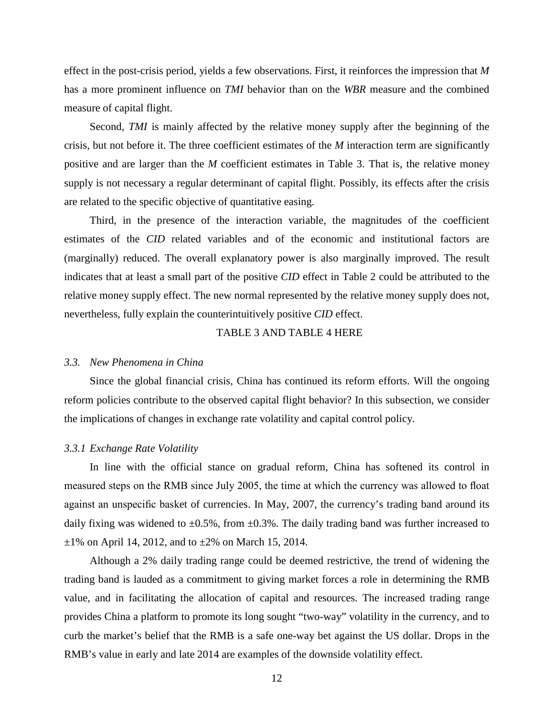effect in the post-crisis period, yields a few observations. First, it reinforces the impression that *M* has a more prominent influence on *TMI* behavior than on the *WBR* measure and the combined measure of capital flight.

Second, *TMI* is mainly affected by the relative money supply after the beginning of the crisis, but not before it. The three coefficient estimates of the *M* interaction term are significantly positive and are larger than the *M* coefficient estimates in Table 3. That is, the relative money supply is not necessary a regular determinant of capital flight. Possibly, its effects after the crisis are related to the specific objective of quantitative easing.

Third, in the presence of the interaction variable, the magnitudes of the coefficient estimates of the *CID* related variables and of the economic and institutional factors are (marginally) reduced. The overall explanatory power is also marginally improved. The result indicates that at least a small part of the positive *CID* effect in Table 2 could be attributed to the relative money supply effect. The new normal represented by the relative money supply does not, nevertheless, fully explain the counterintuitively positive *CID* effect.

## TABLE 3 AND TABLE 4 HERE

#### *3.3. New Phenomena in China*

Since the global financial crisis, China has continued its reform efforts. Will the ongoing reform policies contribute to the observed capital flight behavior? In this subsection, we consider the implications of changes in exchange rate volatility and capital control policy.

#### *3.3.1 Exchange Rate Volatility*

In line with the official stance on gradual reform, China has softened its control in measured steps on the RMB since July 2005, the time at which the currency was allowed to float against an unspecific basket of currencies. In May, 2007, the currency's trading band around its daily fixing was widened to  $\pm 0.5\%$ , from  $\pm 0.3\%$ . The daily trading band was further increased to  $\pm 1\%$  on April 14, 2012, and to  $\pm 2\%$  on March 15, 2014.

Although a 2% daily trading range could be deemed restrictive, the trend of widening the trading band is lauded as a commitment to giving market forces a role in determining the RMB value, and in facilitating the allocation of capital and resources. The increased trading range provides China a platform to promote its long sought "two-way" volatility in the currency, and to curb the market's belief that the RMB is a safe one-way bet against the US dollar. Drops in the RMB's value in early and late 2014 are examples of the downside volatility effect.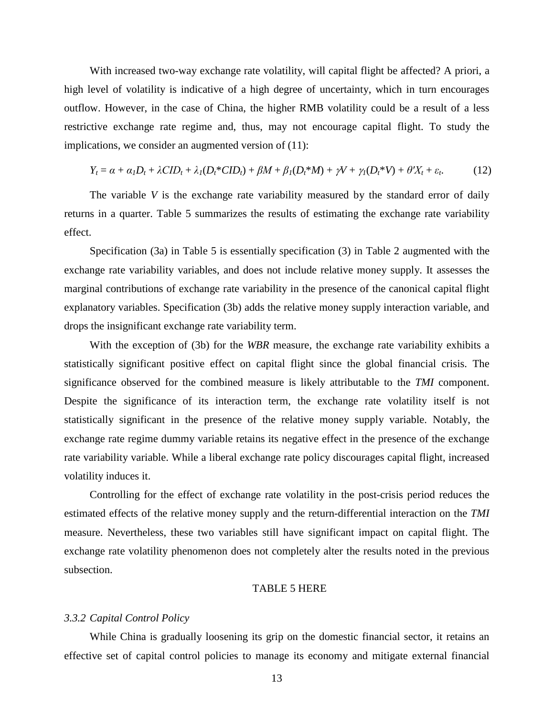With increased two-way exchange rate volatility, will capital flight be affected? A priori, a high level of volatility is indicative of a high degree of uncertainty, which in turn encourages outflow. However, in the case of China, the higher RMB volatility could be a result of a less restrictive exchange rate regime and, thus, may not encourage capital flight. To study the implications, we consider an augmented version of  $(11)$ :

$$
Y_t = \alpha + \alpha_I D_t + \lambda C I D_t + \lambda_I (D_t^* C I D_t) + \beta M + \beta_I (D_t^* M) + \gamma V + \gamma_I (D_t^* V) + \theta' X_t + \varepsilon_t. \tag{12}
$$

The variable *V* is the exchange rate variability measured by the standard error of daily returns in a quarter. Table 5 summarizes the results of estimating the exchange rate variability effect.

Specification (3a) in Table 5 is essentially specification (3) in Table 2 augmented with the exchange rate variability variables, and does not include relative money supply. It assesses the marginal contributions of exchange rate variability in the presence of the canonical capital flight explanatory variables. Specification (3b) adds the relative money supply interaction variable, and drops the insignificant exchange rate variability term.

With the exception of (3b) for the *WBR* measure, the exchange rate variability exhibits a statistically significant positive effect on capital flight since the global financial crisis. The significance observed for the combined measure is likely attributable to the *TMI* component. Despite the significance of its interaction term, the exchange rate volatility itself is not statistically significant in the presence of the relative money supply variable. Notably, the exchange rate regime dummy variable retains its negative effect in the presence of the exchange rate variability variable. While a liberal exchange rate policy discourages capital flight, increased volatility induces it.

Controlling for the effect of exchange rate volatility in the post-crisis period reduces the estimated effects of the relative money supply and the return-differential interaction on the *TMI* measure. Nevertheless, these two variables still have significant impact on capital flight. The exchange rate volatility phenomenon does not completely alter the results noted in the previous subsection.

#### TABLE 5 HERE

#### *3.3.2 Capital Control Policy*

While China is gradually loosening its grip on the domestic financial sector, it retains an effective set of capital control policies to manage its economy and mitigate external financial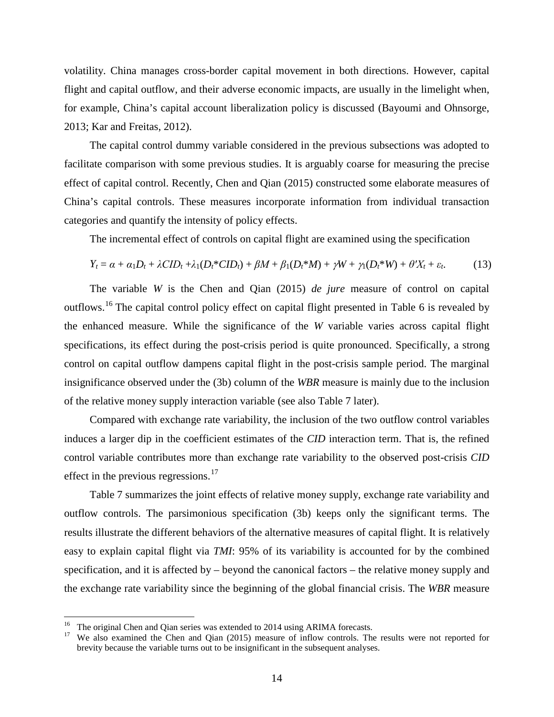volatility. China manages cross-border capital movement in both directions. However, capital flight and capital outflow, and their adverse economic impacts, are usually in the limelight when, for example, China's capital account liberalization policy is discussed (Bayoumi and Ohnsorge, 2013; Kar and Freitas, 2012).

The capital control dummy variable considered in the previous subsections was adopted to facilitate comparison with some previous studies. It is arguably coarse for measuring the precise effect of capital control. Recently, Chen and Qian (2015) constructed some elaborate measures of China's capital controls. These measures incorporate information from individual transaction categories and quantify the intensity of policy effects.

The incremental effect of controls on capital flight are examined using the specification

$$
Y_t = \alpha + \alpha_1 D_t + \lambda C I D_t + \lambda_1 (D_t^* C I D_t) + \beta M + \beta_1 (D_t^* M) + \gamma W + \gamma_1 (D_t^* W) + \theta' X_t + \varepsilon_t. \tag{13}
$$

The variable *W* is the Chen and Qian (2015) *de jure* measure of control on capital outflows.<sup>[16](#page-16-0)</sup> The capital control policy effect on capital flight presented in Table 6 is revealed by the enhanced measure. While the significance of the *W* variable varies across capital flight specifications, its effect during the post-crisis period is quite pronounced. Specifically, a strong control on capital outflow dampens capital flight in the post-crisis sample period. The marginal insignificance observed under the (3b) column of the *WBR* measure is mainly due to the inclusion of the relative money supply interaction variable (see also Table 7 later).

Compared with exchange rate variability, the inclusion of the two outflow control variables induces a larger dip in the coefficient estimates of the *CID* interaction term. That is, the refined control variable contributes more than exchange rate variability to the observed post-crisis *CID* effect in the previous regressions. $17$ 

Table 7 summarizes the joint effects of relative money supply, exchange rate variability and outflow controls. The parsimonious specification (3b) keeps only the significant terms. The results illustrate the different behaviors of the alternative measures of capital flight. It is relatively easy to explain capital flight via *TMI*: 95% of its variability is accounted for by the combined specification, and it is affected by – beyond the canonical factors – the relative money supply and the exchange rate variability since the beginning of the global financial crisis. The *WBR* measure

<span id="page-16-1"></span>

<span id="page-16-0"></span><sup>&</sup>lt;sup>16</sup> The original Chen and Qian series was extended to 2014 using ARIMA forecasts.<br><sup>17</sup> We also examined the Chen and Qian (2015) measure of inflow controls. The results were not reported for brevity because the variable turns out to be insignificant in the subsequent analyses.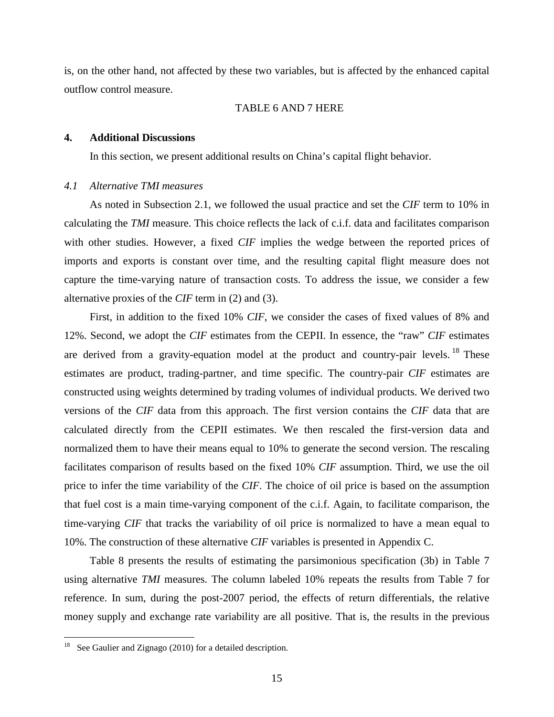is, on the other hand, not affected by these two variables, but is affected by the enhanced capital outflow control measure.

#### TABLE 6 AND 7 HERE

#### **4. Additional Discussions**

In this section, we present additional results on China's capital flight behavior.

## *4.1 Alternative TMI measures*

As noted in Subsection 2.1, we followed the usual practice and set the *CIF* term to 10% in calculating the *TMI* measure. This choice reflects the lack of c.i.f. data and facilitates comparison with other studies. However, a fixed *CIF* implies the wedge between the reported prices of imports and exports is constant over time, and the resulting capital flight measure does not capture the time-varying nature of transaction costs. To address the issue, we consider a few alternative proxies of the *CIF* term in (2) and (3).

First, in addition to the fixed 10% *CIF*, we consider the cases of fixed values of 8% and 12%. Second, we adopt the *CIF* estimates from the CEPII. In essence, the "raw" *CIF* estimates are derived from a gravity-equation model at the product and country-pair levels. <sup>[18](#page-17-0)</sup> These estimates are product, trading-partner, and time specific. The country-pair *CIF* estimates are constructed using weights determined by trading volumes of individual products. We derived two versions of the *CIF* data from this approach. The first version contains the *CIF* data that are calculated directly from the CEPII estimates. We then rescaled the first-version data and normalized them to have their means equal to 10% to generate the second version. The rescaling facilitates comparison of results based on the fixed 10% *CIF* assumption. Third, we use the oil price to infer the time variability of the *CIF*. The choice of oil price is based on the assumption that fuel cost is a main time-varying component of the c.i.f. Again, to facilitate comparison, the time-varying *CIF* that tracks the variability of oil price is normalized to have a mean equal to 10%. The construction of these alternative *CIF* variables is presented in Appendix C.

Table 8 presents the results of estimating the parsimonious specification (3b) in Table 7 using alternative *TMI* measures. The column labeled 10% repeats the results from Table 7 for reference. In sum, during the post-2007 period, the effects of return differentials, the relative money supply and exchange rate variability are all positive. That is, the results in the previous

<span id="page-17-0"></span>See Gaulier and Zignago (2010) for a detailed description.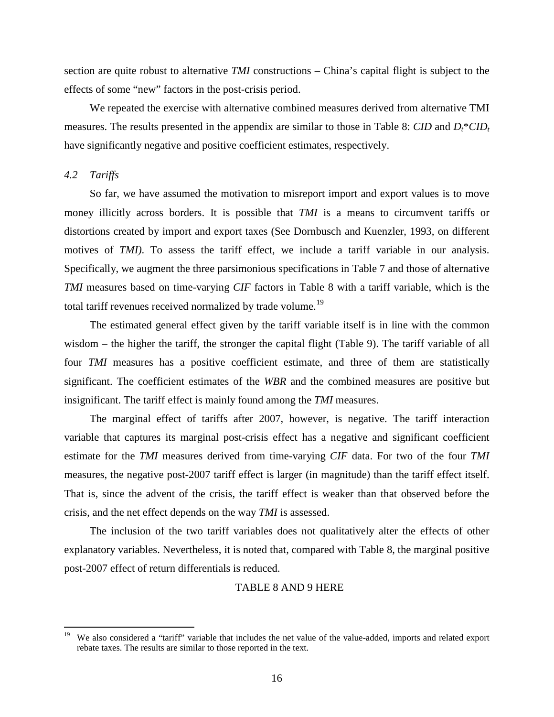section are quite robust to alternative *TMI* constructions – China's capital flight is subject to the effects of some "new" factors in the post-crisis period.

We repeated the exercise with alternative combined measures derived from alternative TMI measures. The results presented in the appendix are similar to those in Table 8: *CID* and  $D_t^*CID_t$ have significantly negative and positive coefficient estimates, respectively.

#### *4.2 Tariffs*

So far, we have assumed the motivation to misreport import and export values is to move money illicitly across borders. It is possible that *TMI* is a means to circumvent tariffs or distortions created by import and export taxes (See Dornbusch and Kuenzler, 1993, on different motives of *TMI*). To assess the tariff effect, we include a tariff variable in our analysis. Specifically, we augment the three parsimonious specifications in Table 7 and those of alternative *TMI* measures based on time-varying *CIF* factors in Table 8 with a tariff variable, which is the total tariff revenues received normalized by trade volume.<sup>[19](#page-18-0)</sup>

The estimated general effect given by the tariff variable itself is in line with the common wisdom – the higher the tariff, the stronger the capital flight (Table 9). The tariff variable of all four *TMI* measures has a positive coefficient estimate, and three of them are statistically significant. The coefficient estimates of the *WBR* and the combined measures are positive but insignificant. The tariff effect is mainly found among the *TMI* measures.

The marginal effect of tariffs after 2007, however, is negative. The tariff interaction variable that captures its marginal post-crisis effect has a negative and significant coefficient estimate for the *TMI* measures derived from time-varying *CIF* data. For two of the four *TMI* measures, the negative post-2007 tariff effect is larger (in magnitude) than the tariff effect itself. That is, since the advent of the crisis, the tariff effect is weaker than that observed before the crisis, and the net effect depends on the way *TMI* is assessed.

The inclusion of the two tariff variables does not qualitatively alter the effects of other explanatory variables. Nevertheless, it is noted that, compared with Table 8, the marginal positive post-2007 effect of return differentials is reduced.

#### TABLE 8 AND 9 HERE

<span id="page-18-0"></span>We also considered a "tariff" variable that includes the net value of the value-added, imports and related export rebate taxes. The results are similar to those reported in the text.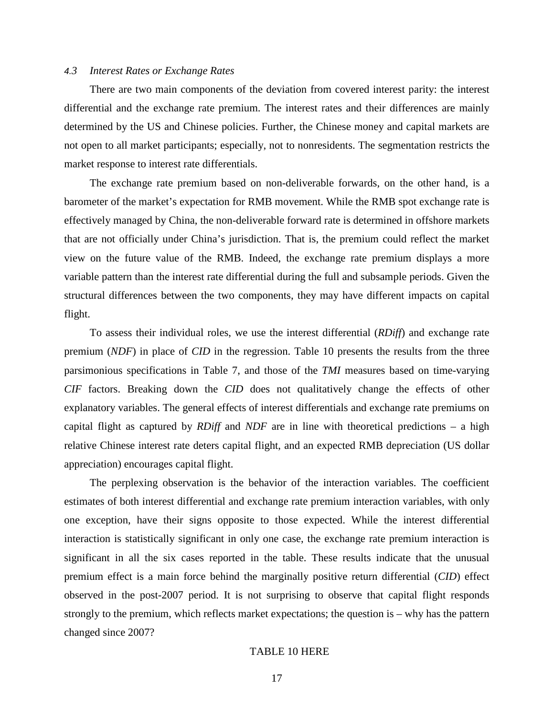#### *4.3 Interest Rates or Exchange Rates*

There are two main components of the deviation from covered interest parity: the interest differential and the exchange rate premium. The interest rates and their differences are mainly determined by the US and Chinese policies. Further, the Chinese money and capital markets are not open to all market participants; especially, not to nonresidents. The segmentation restricts the market response to interest rate differentials.

The exchange rate premium based on non-deliverable forwards, on the other hand, is a barometer of the market's expectation for RMB movement. While the RMB spot exchange rate is effectively managed by China, the non-deliverable forward rate is determined in offshore markets that are not officially under China's jurisdiction. That is, the premium could reflect the market view on the future value of the RMB. Indeed, the exchange rate premium displays a more variable pattern than the interest rate differential during the full and subsample periods. Given the structural differences between the two components, they may have different impacts on capital flight.

To assess their individual roles, we use the interest differential (*RDiff*) and exchange rate premium (*NDF*) in place of *CID* in the regression. Table 10 presents the results from the three parsimonious specifications in Table 7, and those of the *TMI* measures based on time-varying *CIF* factors. Breaking down the *CID* does not qualitatively change the effects of other explanatory variables. The general effects of interest differentials and exchange rate premiums on capital flight as captured by *RDiff* and *NDF* are in line with theoretical predictions – a high relative Chinese interest rate deters capital flight, and an expected RMB depreciation (US dollar appreciation) encourages capital flight.

The perplexing observation is the behavior of the interaction variables. The coefficient estimates of both interest differential and exchange rate premium interaction variables, with only one exception, have their signs opposite to those expected. While the interest differential interaction is statistically significant in only one case, the exchange rate premium interaction is significant in all the six cases reported in the table. These results indicate that the unusual premium effect is a main force behind the marginally positive return differential (*CID*) effect observed in the post-2007 period. It is not surprising to observe that capital flight responds strongly to the premium, which reflects market expectations; the question is – why has the pattern changed since 2007?

#### TABLE 10 HERE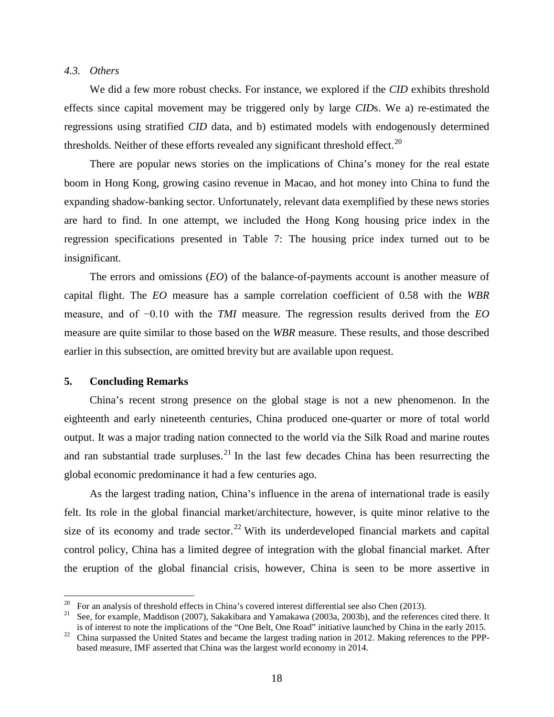#### *4.3. Others*

We did a few more robust checks. For instance, we explored if the *CID* exhibits threshold effects since capital movement may be triggered only by large *CID*s. We a) re-estimated the regressions using stratified *CID* data, and b) estimated models with endogenously determined thresholds. Neither of these efforts revealed any significant threshold effect.<sup>[20](#page-20-0)</sup>

There are popular news stories on the implications of China's money for the real estate boom in Hong Kong, growing casino revenue in Macao, and hot money into China to fund the expanding shadow-banking sector. Unfortunately, relevant data exemplified by these news stories are hard to find. In one attempt, we included the Hong Kong housing price index in the regression specifications presented in Table 7: The housing price index turned out to be insignificant.

The errors and omissions (*EO*) of the balance-of-payments account is another measure of capital flight. The *EO* measure has a sample correlation coefficient of 0.58 with the *WBR* measure, and of −0.10 with the *TMI* measure. The regression results derived from the *EO* measure are quite similar to those based on the *WBR* measure. These results, and those described earlier in this subsection, are omitted brevity but are available upon request.

#### **5. Concluding Remarks**

China's recent strong presence on the global stage is not a new phenomenon. In the eighteenth and early nineteenth centuries, China produced one-quarter or more of total world output. It was a major trading nation connected to the world via the Silk Road and marine routes and ran substantial trade surpluses.<sup>[21](#page-20-1)</sup> In the last few decades China has been resurrecting the global economic predominance it had a few centuries ago.

As the largest trading nation, China's influence in the arena of international trade is easily felt. Its role in the global financial market/architecture, however, is quite minor relative to the size of its economy and trade sector.<sup>[22](#page-20-2)</sup> With its underdeveloped financial markets and capital control policy, China has a limited degree of integration with the global financial market. After the eruption of the global financial crisis, however, China is seen to be more assertive in

<span id="page-20-1"></span><span id="page-20-0"></span><sup>&</sup>lt;sup>20</sup> For an analysis of threshold effects in China's covered interest differential see also Chen (2013).<br><sup>21</sup> See, for example, Maddison (2007), Sakakibara and Yamakawa (2003a, 2003b), and the references cited there. It i

<span id="page-20-2"></span><sup>&</sup>lt;sup>22</sup> China surpassed the United States and became the largest trading nation in 2012. Making references to the PPPbased measure, IMF asserted that China was the largest world economy in 2014.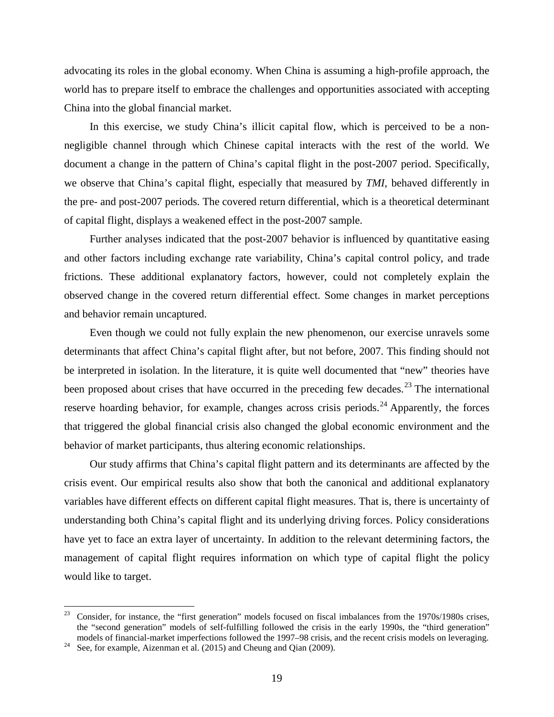advocating its roles in the global economy. When China is assuming a high-profile approach, the world has to prepare itself to embrace the challenges and opportunities associated with accepting China into the global financial market.

In this exercise, we study China's illicit capital flow, which is perceived to be a nonnegligible channel through which Chinese capital interacts with the rest of the world. We document a change in the pattern of China's capital flight in the post-2007 period. Specifically, we observe that China's capital flight, especially that measured by *TMI*, behaved differently in the pre- and post-2007 periods. The covered return differential, which is a theoretical determinant of capital flight, displays a weakened effect in the post-2007 sample.

Further analyses indicated that the post-2007 behavior is influenced by quantitative easing and other factors including exchange rate variability, China's capital control policy, and trade frictions. These additional explanatory factors, however, could not completely explain the observed change in the covered return differential effect. Some changes in market perceptions and behavior remain uncaptured.

Even though we could not fully explain the new phenomenon, our exercise unravels some determinants that affect China's capital flight after, but not before, 2007. This finding should not be interpreted in isolation. In the literature, it is quite well documented that "new" theories have been proposed about crises that have occurred in the preceding few decades.<sup>[23](#page-21-0)</sup> The international reserve hoarding behavior, for example, changes across crisis periods.<sup>[24](#page-21-1)</sup> Apparently, the forces that triggered the global financial crisis also changed the global economic environment and the behavior of market participants, thus altering economic relationships.

Our study affirms that China's capital flight pattern and its determinants are affected by the crisis event. Our empirical results also show that both the canonical and additional explanatory variables have different effects on different capital flight measures. That is, there is uncertainty of understanding both China's capital flight and its underlying driving forces. Policy considerations have yet to face an extra layer of uncertainty. In addition to the relevant determining factors, the management of capital flight requires information on which type of capital flight the policy would like to target.

<span id="page-21-0"></span><sup>&</sup>lt;sup>23</sup> Consider, for instance, the "first generation" models focused on fiscal imbalances from the 1970s/1980s crises, the "second generation" models of self-fulfilling followed the crisis in the early 1990s, the "third generation" models of financial-market imperfections followed the 1997–98 crisis, and the recent crisis models on leveraging. See, for example, Aizenman et al. (2015) and Cheung and Qian (2009).

<span id="page-21-1"></span>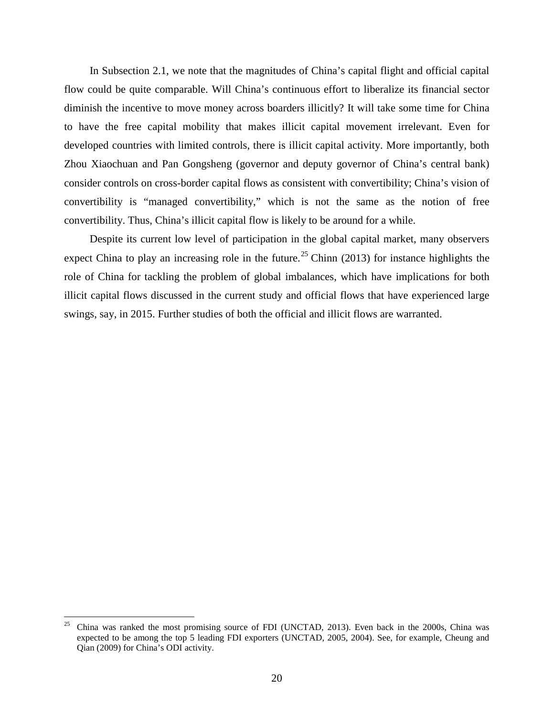In Subsection 2.1, we note that the magnitudes of China's capital flight and official capital flow could be quite comparable. Will China's continuous effort to liberalize its financial sector diminish the incentive to move money across boarders illicitly? It will take some time for China to have the free capital mobility that makes illicit capital movement irrelevant. Even for developed countries with limited controls, there is illicit capital activity. More importantly, both Zhou Xiaochuan and Pan Gongsheng (governor and deputy governor of China's central bank) consider controls on cross-border capital flows as consistent with convertibility; China's vision of convertibility is "managed convertibility," which is not the same as the notion of free convertibility. Thus, China's illicit capital flow is likely to be around for a while.

Despite its current low level of participation in the global capital market, many observers expect China to play an increasing role in the future.<sup>[25](#page-22-0)</sup> Chinn (2013) for instance highlights the role of China for tackling the problem of global imbalances, which have implications for both illicit capital flows discussed in the current study and official flows that have experienced large swings, say, in 2015. Further studies of both the official and illicit flows are warranted.

<span id="page-22-0"></span> $25$  China was ranked the most promising source of FDI (UNCTAD, 2013). Even back in the 2000s, China was expected to be among the top 5 leading FDI exporters (UNCTAD, 2005, 2004). See, for example, Cheung and Qian (2009) for China's ODI activity.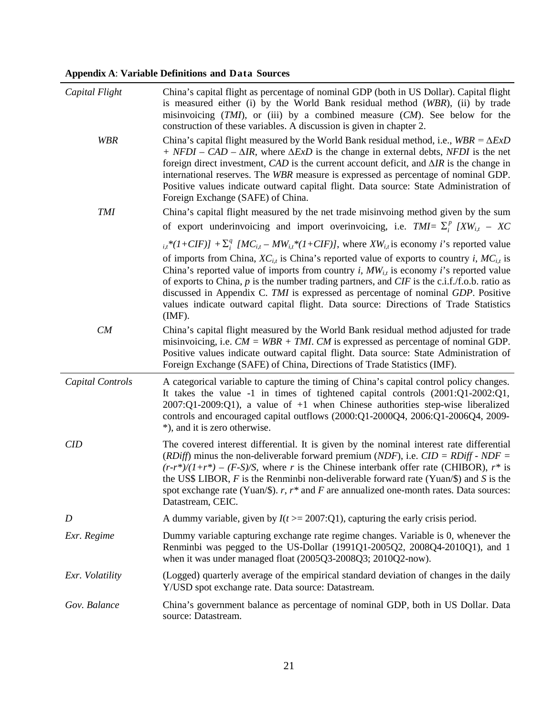**Appendix A**: **Variable Definitions and Data Sources**

| Capital Flight   | China's capital flight as percentage of nominal GDP (both in US Dollar). Capital flight<br>is measured either (i) by the World Bank residual method (WBR), (ii) by trade<br>misinvoicing $(TMI)$ , or (iii) by a combined measure $(CM)$ . See below for the<br>construction of these variables. A discussion is given in chapter 2.                                                                                                                                                                                     |
|------------------|--------------------------------------------------------------------------------------------------------------------------------------------------------------------------------------------------------------------------------------------------------------------------------------------------------------------------------------------------------------------------------------------------------------------------------------------------------------------------------------------------------------------------|
| <b>WBR</b>       | China's capital flight measured by the World Bank residual method, i.e., $WBR = \Delta ExD$<br>$+$ NFDI – CAD – $\Delta IR$ , where $\Delta ExD$ is the change in external debts, NFDI is the net<br>foreign direct investment, CAD is the current account deficit, and $\Delta IR$ is the change in<br>international reserves. The WBR measure is expressed as percentage of nominal GDP.<br>Positive values indicate outward capital flight. Data source: State Administration of<br>Foreign Exchange (SAFE) of China. |
| $\mathit{TMI}$   | China's capital flight measured by the net trade misinvoing method given by the sum                                                                                                                                                                                                                                                                                                                                                                                                                                      |
|                  | of export underinvoicing and import overinvoicing, i.e. $TMI = \sum_i^p I X W_{i,t} - X C$                                                                                                                                                                                                                                                                                                                                                                                                                               |
|                  | $_{i,t}*(1+CIF)$ + $\Sigma_i^q$ [MC <sub>it</sub> – MW <sub>it</sub> *(1+CIF)], where XW <sub>it</sub> is economy <i>i</i> 's reported value                                                                                                                                                                                                                                                                                                                                                                             |
|                  | of imports from China, $XC_{i,t}$ is China's reported value of exports to country i, $MC_{i,t}$ is<br>China's reported value of imports from country <i>i</i> , $MW_{i,t}$ is economy <i>i</i> 's reported value<br>of exports to China, $p$ is the number trading partners, and CIF is the c.i.f./f.o.b. ratio as<br>discussed in Appendix C. TMI is expressed as percentage of nominal GDP. Positive<br>values indicate outward capital flight. Data source: Directions of Trade Statistics<br>$(MF)$ .                |
| CM               | China's capital flight measured by the World Bank residual method adjusted for trade<br>misinvoicing, i.e. $CM = WBR + TMI$ . CM is expressed as percentage of nominal GDP.<br>Positive values indicate outward capital flight. Data source: State Administration of<br>Foreign Exchange (SAFE) of China, Directions of Trade Statistics (IMF).                                                                                                                                                                          |
| Capital Controls | A categorical variable to capture the timing of China's capital control policy changes.<br>It takes the value -1 in times of tightened capital controls $(2001:Q1-2002:Q1,$<br>$2007:Q1-2009:Q1$ , a value of $+1$ when Chinese authorities step-wise liberalized<br>controls and encouraged capital outflows $(2000:Q1-2000Q4, 2006:Q1-2006Q4, 2009-$<br>*), and it is zero otherwise.                                                                                                                                  |
| CID              | The covered interest differential. It is given by the nominal interest rate differential<br>(RDiff) minus the non-deliverable forward premium (NDF), i.e. $CID = RD$ + NDF =<br>$(r-r^*)/(1+r^*)$ – $(F-S)/S$ , where r is the Chinese interbank offer rate (CHIBOR), r* is<br>the US\$ LIBOR, F is the Renminbi non-deliverable forward rate (Yuan/\$) and S is the<br>spot exchange rate (Yuan/\$). $r, r^*$ and F are annualized one-month rates. Data sources:<br>Datastream, CEIC.                                  |
| $\boldsymbol{D}$ | A dummy variable, given by $I(t) = 2007$ :Q1), capturing the early crisis period.                                                                                                                                                                                                                                                                                                                                                                                                                                        |
| Exr. Regime      | Dummy variable capturing exchange rate regime changes. Variable is 0, whenever the<br>Renminbi was pegged to the US-Dollar (1991Q1-2005Q2, 2008Q4-2010Q1), and 1<br>when it was under managed float (2005Q3-2008Q3; 2010Q2-now).                                                                                                                                                                                                                                                                                         |
| Exr. Volatility  | (Logged) quarterly average of the empirical standard deviation of changes in the daily<br>Y/USD spot exchange rate. Data source: Datastream.                                                                                                                                                                                                                                                                                                                                                                             |
| Gov. Balance     | China's government balance as percentage of nominal GDP, both in US Dollar. Data<br>source: Datastream.                                                                                                                                                                                                                                                                                                                                                                                                                  |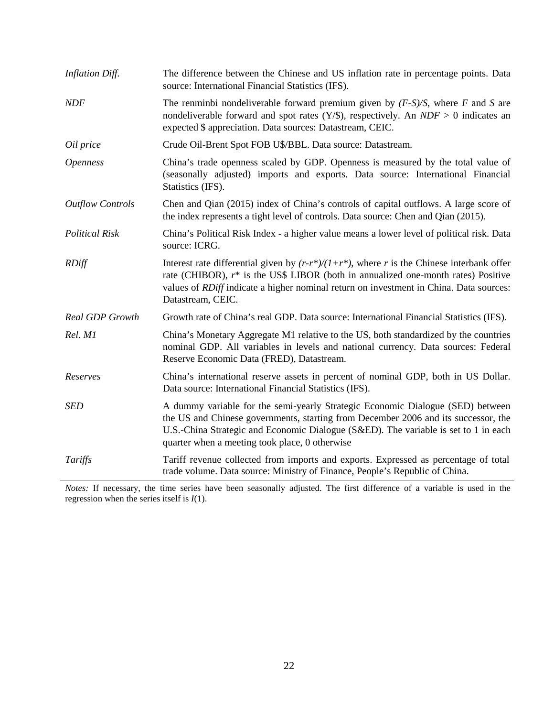| Inflation Diff.         | The difference between the Chinese and US inflation rate in percentage points. Data<br>source: International Financial Statistics (IFS).                                                                                                                                                                      |
|-------------------------|---------------------------------------------------------------------------------------------------------------------------------------------------------------------------------------------------------------------------------------------------------------------------------------------------------------|
| <b>NDF</b>              | The renminbi nondeliverable forward premium given by $(F-S)/S$ , where F and S are<br>nondeliverable forward and spot rates $(Y/\$)$ , respectively. An $NDF > 0$ indicates an<br>expected \$ appreciation. Data sources: Datastream, CEIC.                                                                   |
| Oil price               | Crude Oil-Brent Spot FOB U\$/BBL. Data source: Datastream.                                                                                                                                                                                                                                                    |
| <b>Openness</b>         | China's trade openness scaled by GDP. Openness is measured by the total value of<br>(seasonally adjusted) imports and exports. Data source: International Financial<br>Statistics (IFS).                                                                                                                      |
| <b>Outflow Controls</b> | Chen and Qian (2015) index of China's controls of capital outflows. A large score of<br>the index represents a tight level of controls. Data source: Chen and Qian (2015).                                                                                                                                    |
| <b>Political Risk</b>   | China's Political Risk Index - a higher value means a lower level of political risk. Data<br>source: ICRG.                                                                                                                                                                                                    |
| <b>RDiff</b>            | Interest rate differential given by $(r-r^*)/(1+r^*)$ , where r is the Chinese interbank offer<br>rate (CHIBOR), $r^*$ is the US\$ LIBOR (both in annualized one-month rates) Positive<br>values of <i>RDiff</i> indicate a higher nominal return on investment in China. Data sources:<br>Datastream, CEIC.  |
| <b>Real GDP Growth</b>  | Growth rate of China's real GDP. Data source: International Financial Statistics (IFS).                                                                                                                                                                                                                       |
| Rel. M1                 | China's Monetary Aggregate M1 relative to the US, both standardized by the countries<br>nominal GDP. All variables in levels and national currency. Data sources: Federal<br>Reserve Economic Data (FRED), Datastream.                                                                                        |
| Reserves                | China's international reserve assets in percent of nominal GDP, both in US Dollar.<br>Data source: International Financial Statistics (IFS).                                                                                                                                                                  |
| <b>SED</b>              | A dummy variable for the semi-yearly Strategic Economic Dialogue (SED) between<br>the US and Chinese governments, starting from December 2006 and its successor, the<br>U.S.-China Strategic and Economic Dialogue (S&ED). The variable is set to 1 in each<br>quarter when a meeting took place, 0 otherwise |
| Tariffs                 | Tariff revenue collected from imports and exports. Expressed as percentage of total<br>trade volume. Data source: Ministry of Finance, People's Republic of China.                                                                                                                                            |

*Notes:* If necessary, the time series have been seasonally adjusted. The first difference of a variable is used in the regression when the series itself is *I*(1).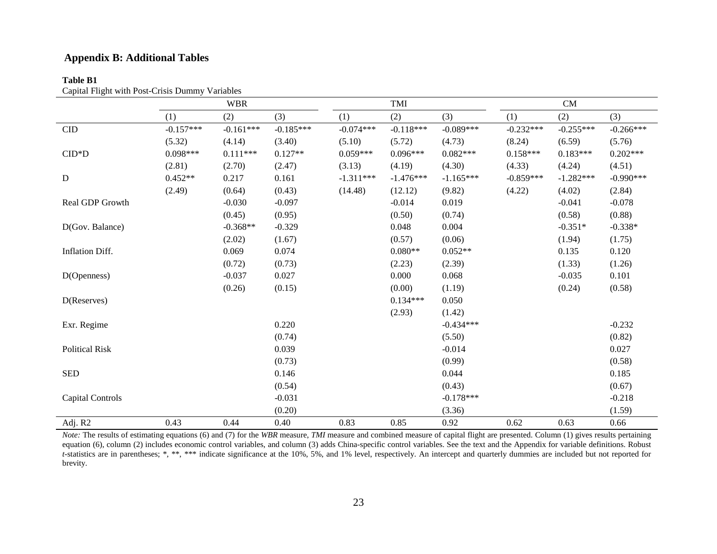## **Appendix B: Additional Tables**

## **Table B1**

| Capital Flight with Post-Crisis Dummy Variables |  |
|-------------------------------------------------|--|
|                                                 |  |

|                         |             | <b>WBR</b>  |             |             | TMI         |             |             | CM          |             |
|-------------------------|-------------|-------------|-------------|-------------|-------------|-------------|-------------|-------------|-------------|
|                         | (1)         | (2)         | (3)         | (1)         | (2)         | (3)         | (1)         | (2)         | (3)         |
| $\rm CID$               | $-0.157***$ | $-0.161***$ | $-0.185***$ | $-0.074***$ | $-0.118***$ | $-0.089***$ | $-0.232***$ | $-0.255***$ | $-0.266***$ |
|                         | (5.32)      | (4.14)      | (3.40)      | (5.10)      | (5.72)      | (4.73)      | (8.24)      | (6.59)      | (5.76)      |
| $CID*D$                 | $0.098***$  | $0.111***$  | $0.127**$   | $0.059***$  | $0.096***$  | $0.082***$  | $0.158***$  | $0.183***$  | $0.202***$  |
|                         | (2.81)      | (2.70)      | (2.47)      | (3.13)      | (4.19)      | (4.30)      | (4.33)      | (4.24)      | (4.51)      |
| $\mathbf D$             | $0.452**$   | 0.217       | 0.161       | $-1.311***$ | $-1.476***$ | $-1.165***$ | $-0.859***$ | $-1.282***$ | $-0.990***$ |
|                         | (2.49)      | (0.64)      | (0.43)      | (14.48)     | (12.12)     | (9.82)      | (4.22)      | (4.02)      | (2.84)      |
| Real GDP Growth         |             | $-0.030$    | $-0.097$    |             | $-0.014$    | 0.019       |             | $-0.041$    | $-0.078$    |
|                         |             | (0.45)      | (0.95)      |             | (0.50)      | (0.74)      |             | (0.58)      | (0.88)      |
| D(Gov. Balance)         |             | $-0.368**$  | $-0.329$    |             | 0.048       | 0.004       |             | $-0.351*$   | $-0.338*$   |
|                         |             | (2.02)      | (1.67)      |             | (0.57)      | (0.06)      |             | (1.94)      | (1.75)      |
| Inflation Diff.         |             | 0.069       | 0.074       |             | $0.080**$   | $0.052**$   |             | 0.135       | 0.120       |
|                         |             | (0.72)      | (0.73)      |             | (2.23)      | (2.39)      |             | (1.33)      | (1.26)      |
| D(Openness)             |             | $-0.037$    | 0.027       |             | 0.000       | 0.068       |             | $-0.035$    | 0.101       |
|                         |             | (0.26)      | (0.15)      |             | (0.00)      | (1.19)      |             | (0.24)      | (0.58)      |
| D(Reserves)             |             |             |             |             | $0.134***$  | 0.050       |             |             |             |
|                         |             |             |             |             | (2.93)      | (1.42)      |             |             |             |
| Exr. Regime             |             |             | 0.220       |             |             | $-0.434***$ |             |             | $-0.232$    |
|                         |             |             | (0.74)      |             |             | (5.50)      |             |             | (0.82)      |
| <b>Political Risk</b>   |             |             | 0.039       |             |             | $-0.014$    |             |             | 0.027       |
|                         |             |             | (0.73)      |             |             | (0.99)      |             |             | (0.58)      |
| <b>SED</b>              |             |             | 0.146       |             |             | 0.044       |             |             | 0.185       |
|                         |             |             | (0.54)      |             |             | (0.43)      |             |             | (0.67)      |
| <b>Capital Controls</b> |             |             | $-0.031$    |             |             | $-0.178***$ |             |             | $-0.218$    |
|                         |             |             | (0.20)      |             |             | (3.36)      |             |             | (1.59)      |
| Adj. R2                 | 0.43        | 0.44        | 0.40        | 0.83        | 0.85        | 0.92        | 0.62        | 0.63        | 0.66        |

*Note:* The results of estimating equations (6) and (7) for the *WBR* measure, *TMI* measure and combined measure of capital flight are presented. Column (1) gives results pertaining equation (6), column (2) includes economic control variables, and column (3) adds China-specific control variables. See the text and the Appendix for variable definitions. Robust *t*-statistics are in parentheses; \*, \*\*, \*\*\* indicate significance at the 10%, 5%, and 1% level, respectively. An intercept and quarterly dummies are included but not reported for brevity.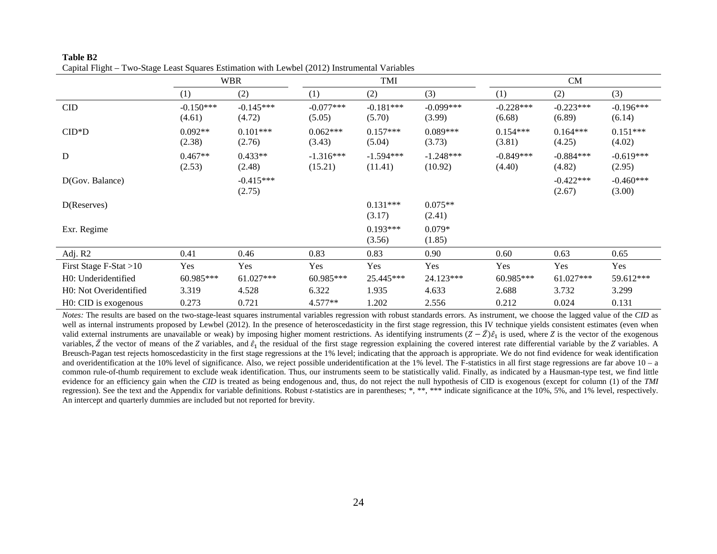|                        |                       | <b>WBR</b>            |                        | TMI                    |                        |                       | CM                    |                       |
|------------------------|-----------------------|-----------------------|------------------------|------------------------|------------------------|-----------------------|-----------------------|-----------------------|
|                        | (1)                   | (2)                   | (1)                    | (2)                    | (3)                    | (1)                   | (2)                   | (3)                   |
| CID                    | $-0.150***$<br>(4.61) | $-0.145***$<br>(4.72) | $-0.077***$<br>(5.05)  | $-0.181***$<br>(5.70)  | $-0.099***$<br>(3.99)  | $-0.228***$<br>(6.68) | $-0.223***$<br>(6.89) | $-0.196***$<br>(6.14) |
| $CID*D$                | $0.092**$<br>(2.38)   | $0.101***$<br>(2.76)  | $0.062***$<br>(3.43)   | $0.157***$<br>(5.04)   | $0.089***$<br>(3.73)   | $0.154***$<br>(3.81)  | $0.164***$<br>(4.25)  | $0.151***$<br>(4.02)  |
| ${\bf D}$              | $0.467**$<br>(2.53)   | $0.433**$<br>(2.48)   | $-1.316***$<br>(15.21) | $-1.594***$<br>(11.41) | $-1.248***$<br>(10.92) | $-0.849***$<br>(4.40) | $-0.884***$<br>(4.82) | $-0.619***$<br>(2.95) |
| D(Gov. Balance)        |                       | $-0.415***$<br>(2.75) |                        |                        |                        |                       | $-0.422***$<br>(2.67) | $-0.460***$<br>(3.00) |
| D(Reserves)            |                       |                       |                        | $0.131***$<br>(3.17)   | $0.075**$<br>(2.41)    |                       |                       |                       |
| Exr. Regime            |                       |                       |                        | $0.193***$<br>(3.56)   | $0.079*$<br>(1.85)     |                       |                       |                       |
| Adj. R2                | 0.41                  | 0.46                  | 0.83                   | 0.83                   | 0.90                   | 0.60                  | 0.63                  | 0.65                  |
| First Stage F-Stat >10 | Yes                   | Yes                   | Yes                    | Yes                    | Yes                    | Yes                   | Yes                   | Yes                   |
| H0: Underidentified    | 60.985***             | $61.027***$           | 60.985***              | 25.445***              | 24.123***              | 60.985***             | 61.027***             | 59.612***             |
| H0: Not Overidentified | 3.319                 | 4.528                 | 6.322                  | 1.935                  | 4.633                  | 2.688                 | 3.732                 | 3.299                 |
| H0: CID is exogenous   | 0.273                 | 0.721                 | 4.577**                | 1.202                  | 2.556                  | 0.212                 | 0.024                 | 0.131                 |

| Table B2                                                                                      |  |
|-----------------------------------------------------------------------------------------------|--|
| Capital Flight – Two-Stage Least Squares Estimation with Lewbel (2012) Instrumental Variables |  |

*Notes:* The results are based on the two-stage-least squares instrumental variables regression with robust standards errors. As instrument, we choose the lagged value of the *CID* as well as internal instruments proposed by Lewbel (2012). In the presence of heteroscedasticity in the first stage regression, this IV technique yields consistent estimates (even when valid external instruments are unavailable or weak) by imposing higher moment restrictions. As identifying instruments  $(Z - Z)\hat{\epsilon}_1$  is used, where Z is the vector of the exogenous variables,  $\overline{Z}$  the vector of means of the Z variables, and  $\hat{\varepsilon}_1$  the residual of the first stage regression explaining the covered interest rate differential variable by the Z variables. A Breusch-Pagan test rejects homoscedasticity in the first stage regressions at the 1% level; indicating that the approach is appropriate. We do not find evidence for weak identification and overidentification at the 10% level of significance. Also, we reject possible underidentification at the 1% level. The F-statistics in all first stage regressions are far above  $10 - a$ common rule-of-thumb requirement to exclude weak identification. Thus, our instruments seem to be statistically valid. Finally, as indicated by a Hausman-type test, we find little evidence for an efficiency gain when the *CID* is treated as being endogenous and, thus, do not reject the null hypothesis of CID is exogenous (except for column (1) of the *TMI* regression). See the text and the Appendix for variable definitions. Robust *t*-statistics are in parentheses; \*, \*\*\* \*\*\* indicate significance at the 10%, 5%, and 1% level, respectively. An intercept and quarterly dummies are included but not reported for brevity.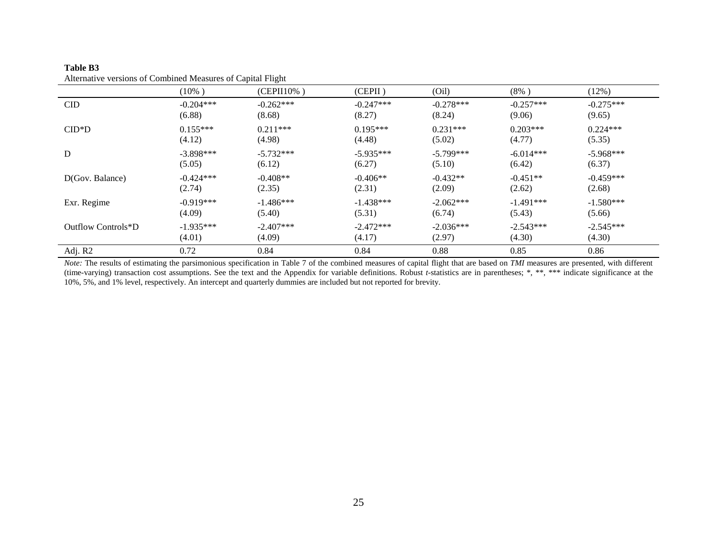| <i>Received verbrond of Companies measures of Cuprum Firement</i> |                       |                       |                       |                       |                       |                       |  |
|-------------------------------------------------------------------|-----------------------|-----------------------|-----------------------|-----------------------|-----------------------|-----------------------|--|
|                                                                   | $(10\%)$              | $(CEPII10\%)$         | (CEPII)               | (Oil)                 | $(8\%)$               | (12%)                 |  |
| <b>CID</b>                                                        | $-0.204***$<br>(6.88) | $-0.262***$<br>(8.68) | $-0.247***$<br>(8.27) | $-0.278***$<br>(8.24) | $-0.257***$<br>(9.06) | $-0.275***$<br>(9.65) |  |
| $CID*D$                                                           | $0.155***$<br>(4.12)  | $0.211***$<br>(4.98)  | $0.195***$<br>(4.48)  | $0.231***$<br>(5.02)  | $0.203***$<br>(4.77)  | $0.224***$<br>(5.35)  |  |
| ${\bf D}$                                                         | $-3.898***$<br>(5.05) | $-5.732***$<br>(6.12) | $-5.935***$<br>(6.27) | $-5.799***$<br>(5.10) | $-6.014***$<br>(6.42) | $-5.968***$<br>(6.37) |  |
| D(Gov. Balance)                                                   | $-0.424***$<br>(2.74) | $-0.408**$<br>(2.35)  | $-0.406**$<br>(2.31)  | $-0.432**$<br>(2.09)  | $-0.451**$<br>(2.62)  | $-0.459***$<br>(2.68) |  |
| Exr. Regime                                                       | $-0.919***$<br>(4.09) | $-1.486***$<br>(5.40) | $-1.438***$<br>(5.31) | $-2.062***$<br>(6.74) | $-1.491***$<br>(5.43) | $-1.580***$<br>(5.66) |  |
| Outflow Controls*D                                                | $-1.935***$<br>(4.01) | $-2.407***$<br>(4.09) | $-2.472***$<br>(4.17) | $-2.036***$<br>(2.97) | $-2.543***$<br>(4.30) | $-2.545***$<br>(4.30) |  |
| Adj. R2                                                           | 0.72                  | 0.84                  | 0.84                  | 0.88                  | 0.85                  | 0.86                  |  |

#### **Table B3** Alternative versions of Combined Measures of Capital Flight

*Note:* The results of estimating the parsimonious specification in Table 7 of the combined measures of capital flight that are based on *TMI* measures are presented, with different (time-varying) transaction cost assumptions. See the text and the Appendix for variable definitions. Robust *t*-statistics are in parentheses; \*, \*\*, \*\*\* indicate significance at the 10%, 5%, and 1% level, respectively. An intercept and quarterly dummies are included but not reported for brevity.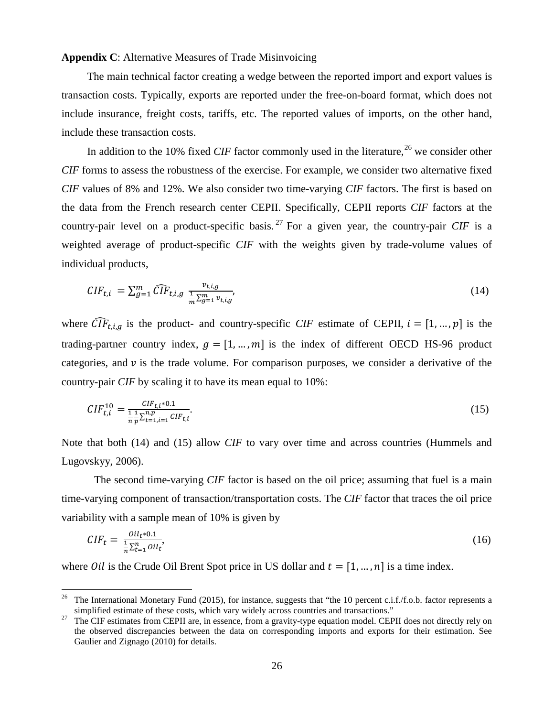#### **Appendix C**: Alternative Measures of Trade Misinvoicing

The main technical factor creating a wedge between the reported import and export values is transaction costs. Typically, exports are reported under the free-on-board format, which does not include insurance, freight costs, tariffs, etc. The reported values of imports, on the other hand, include these transaction costs.

In addition to the 10% fixed *CIF* factor commonly used in the literature,  $^{26}$  $^{26}$  $^{26}$  we consider other *CIF* forms to assess the robustness of the exercise. For example, we consider two alternative fixed *CIF* values of 8% and 12%. We also consider two time-varying *CIF* factors. The first is based on the data from the French research center CEPII. Specifically, CEPII reports *CIF* factors at the country-pair level on a product-specific basis.<sup>[27](#page-28-1)</sup> For a given year, the country-pair *CIF* is a weighted average of product-specific *CIF* with the weights given by trade-volume values of individual products,

$$
CIF_{t,i} = \sum_{g=1}^{m} \widehat{CIF}_{t,i,g} \frac{v_{t,i,g}}{\frac{1}{m} \sum_{g=1}^{m} v_{t,i,g}},
$$
\n(14)

where  $\widehat{CIF}_{t,i,q}$  is the product- and country-specific *CIF* estimate of CEPII,  $i = [1, ..., p]$  is the trading-partner country index,  $q = [1, ..., m]$  is the index of different OECD HS-96 product categories, and  $v$  is the trade volume. For comparison purposes, we consider a derivative of the country-pair *CIF* by scaling it to have its mean equal to 10%:

$$
CIF_{t,i}^{10} = \frac{CIF_{t,i} \times 0.1}{\frac{1}{n} \sum_{t=1, i=1}^{n,p} CIF_{t,i}}.
$$
\n(15)

Note that both (14) and (15) allow *CIF* to vary over time and across countries (Hummels and Lugovskyy, 2006).

The second time-varying *CIF* factor is based on the oil price; assuming that fuel is a main time-varying component of transaction/transportation costs. The *CIF* factor that traces the oil price variability with a sample mean of 10% is given by

$$
CIF_t = \frac{o_{il_t * 0.1}}{\frac{1}{n} \sum_{t=1}^{n} o_{il_t}},\tag{16}
$$

where *Oil* is the Crude Oil Brent Spot price in US dollar and  $t = [1, ..., n]$  is a time index.

<span id="page-28-0"></span><sup>&</sup>lt;sup>26</sup> The International Monetary Fund (2015), for instance, suggests that "the 10 percent c.i.f./f.o.b. factor represents a

<span id="page-28-1"></span>simplified estimate of these costs, which vary widely across countries and transactions."<br><sup>27</sup> The CIF estimates from CEPII are, in essence, from a gravity-type equation model. CEPII does not directly rely on the observed discrepancies between the data on corresponding imports and exports for their estimation. See Gaulier and Zignago (2010) for details.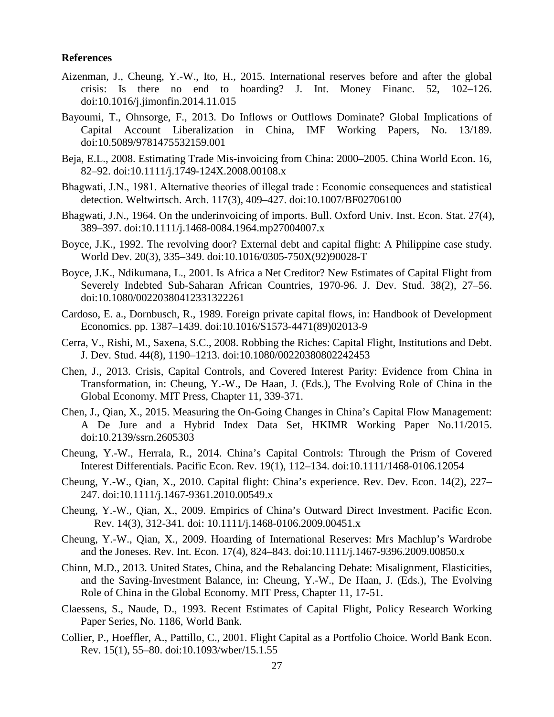#### **References**

- Aizenman, J., Cheung, Y.-W., Ito, H., 2015. International reserves before and after the global crisis: Is there no end to hoarding? J. Int. Money Financ. 52, 102–126. doi:10.1016/j.jimonfin.2014.11.015
- Bayoumi, T., Ohnsorge, F., 2013. Do Inflows or Outflows Dominate? Global Implications of Capital Account Liberalization in China, IMF Working Papers, No. 13/189. doi:10.5089/9781475532159.001
- Beja, E.L., 2008. Estimating Trade Mis-invoicing from China: 2000–2005. China World Econ. 16, 82–92. doi:10.1111/j.1749-124X.2008.00108.x
- Bhagwati, J.N., 1981. Alternative theories of illegal trade : Economic consequences and statistical detection. Weltwirtsch. Arch. 117(3), 409–427. doi:10.1007/BF02706100
- Bhagwati, J.N., 1964. On the underinvoicing of imports. Bull. Oxford Univ. Inst. Econ. Stat. 27(4), 389–397. doi:10.1111/j.1468-0084.1964.mp27004007.x
- Boyce, J.K., 1992. The revolving door? External debt and capital flight: A Philippine case study. World Dev. 20(3), 335–349. doi:10.1016/0305-750X(92)90028-T
- Boyce, J.K., Ndikumana, L., 2001. Is Africa a Net Creditor? New Estimates of Capital Flight from Severely Indebted Sub-Saharan African Countries, 1970-96. J. Dev. Stud. 38(2), 27–56. doi:10.1080/00220380412331322261
- Cardoso, E. a., Dornbusch, R., 1989. Foreign private capital flows, in: Handbook of Development Economics. pp. 1387–1439. doi:10.1016/S1573-4471(89)02013-9
- Cerra, V., Rishi, M., Saxena, S.C., 2008. Robbing the Riches: Capital Flight, Institutions and Debt. J. Dev. Stud. 44(8), 1190–1213. doi:10.1080/00220380802242453
- Chen, J., 2013. Crisis, Capital Controls, and Covered Interest Parity: Evidence from China in Transformation, in: Cheung, Y.-W., De Haan, J. (Eds.), The Evolving Role of China in the Global Economy. MIT Press, Chapter 11, 339-371.
- Chen, J., Qian, X., 2015. Measuring the On-Going Changes in China's Capital Flow Management: A De Jure and a Hybrid Index Data Set, HKIMR Working Paper No.11/2015. doi:10.2139/ssrn.2605303
- Cheung, Y.-W., Herrala, R., 2014. China's Capital Controls: Through the Prism of Covered Interest Differentials. Pacific Econ. Rev. 19(1), 112–134. doi:10.1111/1468-0106.12054
- Cheung, Y.-W., Qian, X., 2010. Capital flight: China's experience. Rev. Dev. Econ. 14(2), 227– 247. doi:10.1111/j.1467-9361.2010.00549.x
- Cheung, Y.-W., Qian, X., 2009. Empirics of China's Outward Direct Investment. Pacific Econ. Rev. 14(3), 312-341*.* doi: 10.1111/j.1468-0106.2009.00451.x
- Cheung, Y.-W., Qian, X., 2009. Hoarding of International Reserves: Mrs Machlup's Wardrobe and the Joneses. Rev. Int. Econ. 17(4), 824–843. doi:10.1111/j.1467-9396.2009.00850.x
- Chinn, M.D., 2013. United States, China, and the Rebalancing Debate: Misalignment, Elasticities, and the Saving-Investment Balance, in: Cheung, Y.-W., De Haan, J. (Eds.), The Evolving Role of China in the Global Economy. MIT Press, Chapter 11, 17-51.
- Claessens, S., Naude, D., 1993. Recent Estimates of Capital Flight, Policy Research Working Paper Series, No. 1186, World Bank.
- Collier, P., Hoeffler, A., Pattillo, C., 2001. Flight Capital as a Portfolio Choice. World Bank Econ. Rev. 15(1), 55–80. doi:10.1093/wber/15.1.55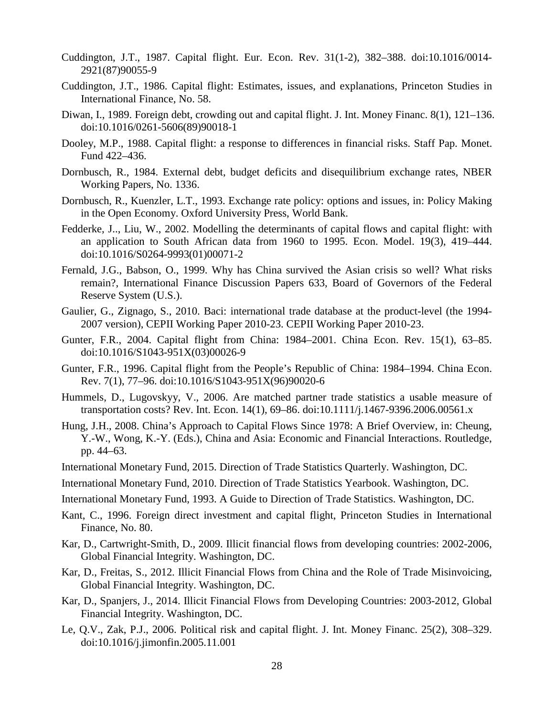- Cuddington, J.T., 1987. Capital flight. Eur. Econ. Rev. 31(1-2), 382–388. doi:10.1016/0014- 2921(87)90055-9
- Cuddington, J.T., 1986. Capital flight: Estimates, issues, and explanations, Princeton Studies in International Finance, No. 58.
- Diwan, I., 1989. Foreign debt, crowding out and capital flight. J. Int. Money Financ. 8(1), 121–136. doi:10.1016/0261-5606(89)90018-1
- Dooley, M.P., 1988. Capital flight: a response to differences in financial risks. Staff Pap. Monet. Fund 422–436.
- Dornbusch, R., 1984. External debt, budget deficits and disequilibrium exchange rates, NBER Working Papers, No. 1336.
- Dornbusch, R., Kuenzler, L.T., 1993. Exchange rate policy: options and issues, in: Policy Making in the Open Economy. Oxford University Press, World Bank.
- Fedderke, J.., Liu, W., 2002. Modelling the determinants of capital flows and capital flight: with an application to South African data from 1960 to 1995. Econ. Model. 19(3), 419–444. doi:10.1016/S0264-9993(01)00071-2
- Fernald, J.G., Babson, O., 1999. Why has China survived the Asian crisis so well? What risks remain?, International Finance Discussion Papers 633, Board of Governors of the Federal Reserve System (U.S.).
- Gaulier, G., Zignago, S., 2010. Baci: international trade database at the product-level (the 1994- 2007 version), CEPII Working Paper 2010-23. CEPII Working Paper 2010-23.
- Gunter, F.R., 2004. Capital flight from China: 1984–2001. China Econ. Rev. 15(1), 63–85. doi:10.1016/S1043-951X(03)00026-9
- Gunter, F.R., 1996. Capital flight from the People's Republic of China: 1984–1994. China Econ. Rev. 7(1), 77–96. doi:10.1016/S1043-951X(96)90020-6
- Hummels, D., Lugovskyy, V., 2006. Are matched partner trade statistics a usable measure of transportation costs? Rev. Int. Econ. 14(1), 69–86. doi:10.1111/j.1467-9396.2006.00561.x
- Hung, J.H., 2008. China's Approach to Capital Flows Since 1978: A Brief Overview, in: Cheung, Y.-W., Wong, K.-Y. (Eds.), China and Asia: Economic and Financial Interactions. Routledge, pp. 44–63.
- International Monetary Fund, 2015. Direction of Trade Statistics Quarterly. Washington, DC.
- International Monetary Fund, 2010. Direction of Trade Statistics Yearbook. Washington, DC.
- International Monetary Fund, 1993. A Guide to Direction of Trade Statistics. Washington, DC.
- Kant, C., 1996. Foreign direct investment and capital flight, Princeton Studies in International Finance, No. 80.
- Kar, D., Cartwright-Smith, D., 2009. Illicit financial flows from developing countries: 2002-2006, Global Financial Integrity. Washington, DC.
- Kar, D., Freitas, S., 2012. Illicit Financial Flows from China and the Role of Trade Misinvoicing, Global Financial Integrity. Washington, DC.
- Kar, D., Spanjers, J., 2014. Illicit Financial Flows from Developing Countries: 2003-2012, Global Financial Integrity. Washington, DC.
- Le, Q.V., Zak, P.J., 2006. Political risk and capital flight. J. Int. Money Financ. 25(2), 308–329. doi:10.1016/j.jimonfin.2005.11.001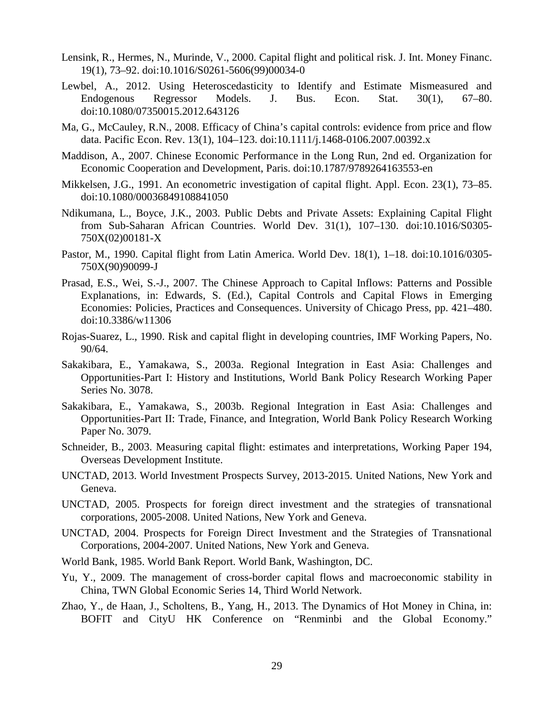- Lensink, R., Hermes, N., Murinde, V., 2000. Capital flight and political risk. J. Int. Money Financ. 19(1), 73–92. doi:10.1016/S0261-5606(99)00034-0
- Lewbel, A., 2012. Using Heteroscedasticity to Identify and Estimate Mismeasured and Endogenous Regressor Models. J. Bus. Econ. Stat. 30(1), 67–80. doi:10.1080/07350015.2012.643126
- Ma, G., McCauley, R.N., 2008. Efficacy of China's capital controls: evidence from price and flow data. Pacific Econ. Rev. 13(1), 104–123. doi:10.1111/j.1468-0106.2007.00392.x
- Maddison, A., 2007. Chinese Economic Performance in the Long Run, 2nd ed. Organization for Economic Cooperation and Development, Paris. doi:10.1787/9789264163553-en
- Mikkelsen, J.G., 1991. An econometric investigation of capital flight. Appl. Econ. 23(1), 73–85. doi:10.1080/00036849108841050
- Ndikumana, L., Boyce, J.K., 2003. Public Debts and Private Assets: Explaining Capital Flight from Sub-Saharan African Countries. World Dev. 31(1), 107–130. doi:10.1016/S0305- 750X(02)00181-X
- Pastor, M., 1990. Capital flight from Latin America. World Dev. 18(1), 1–18. doi:10.1016/0305- 750X(90)90099-J
- Prasad, E.S., Wei, S.-J., 2007. The Chinese Approach to Capital Inflows: Patterns and Possible Explanations, in: Edwards, S. (Ed.), Capital Controls and Capital Flows in Emerging Economies: Policies, Practices and Consequences. University of Chicago Press, pp. 421–480. doi:10.3386/w11306
- Rojas-Suarez, L., 1990. Risk and capital flight in developing countries, IMF Working Papers, No. 90/64.
- Sakakibara, E., Yamakawa, S., 2003a. Regional Integration in East Asia: Challenges and Opportunities-Part I: History and Institutions, World Bank Policy Research Working Paper Series No. 3078.
- Sakakibara, E., Yamakawa, S., 2003b. Regional Integration in East Asia: Challenges and Opportunities-Part II: Trade, Finance, and Integration, World Bank Policy Research Working Paper No. 3079.
- Schneider, B., 2003. Measuring capital flight: estimates and interpretations, Working Paper 194, Overseas Development Institute.
- UNCTAD, 2013. World Investment Prospects Survey, 2013-2015. United Nations, New York and Geneva.
- UNCTAD, 2005. Prospects for foreign direct investment and the strategies of transnational corporations, 2005-2008. United Nations, New York and Geneva.
- UNCTAD, 2004. Prospects for Foreign Direct Investment and the Strategies of Transnational Corporations, 2004-2007. United Nations, New York and Geneva.
- World Bank, 1985. World Bank Report. World Bank, Washington, DC.
- Yu, Y., 2009. The management of cross-border capital flows and macroeconomic stability in China, TWN Global Economic Series 14, Third World Network.
- Zhao, Y., de Haan, J., Scholtens, B., Yang, H., 2013. The Dynamics of Hot Money in China, in: BOFIT and CityU HK Conference on "Renminbi and the Global Economy."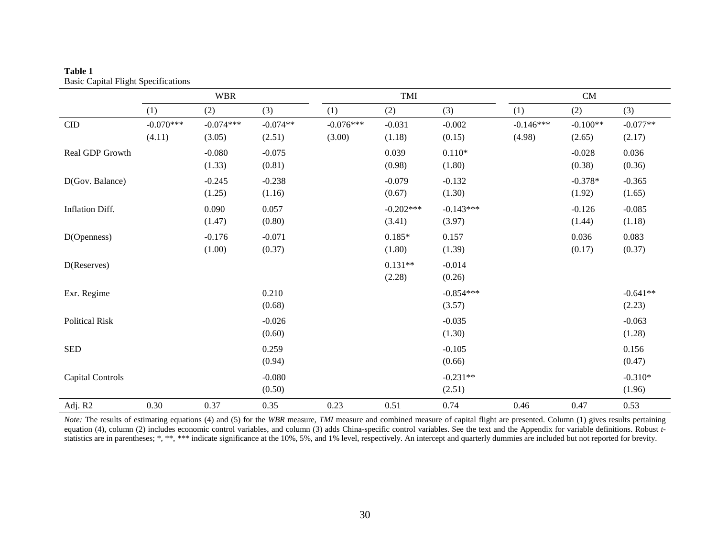|                             |                       | <b>WBR</b>            |                      |                       | TMI                   |                       |                       | CM                   |                      |
|-----------------------------|-----------------------|-----------------------|----------------------|-----------------------|-----------------------|-----------------------|-----------------------|----------------------|----------------------|
|                             | (1)                   | (2)                   | (3)                  | (1)                   | (2)                   | (3)                   | (1)                   | (2)                  | (3)                  |
| $\ensuremath{\mathrm{CID}}$ | $-0.070***$<br>(4.11) | $-0.074***$<br>(3.05) | $-0.074**$<br>(2.51) | $-0.076***$<br>(3.00) | $-0.031$<br>(1.18)    | $-0.002$<br>(0.15)    | $-0.146***$<br>(4.98) | $-0.100**$<br>(2.65) | $-0.077**$<br>(2.17) |
| Real GDP Growth             |                       | $-0.080$<br>(1.33)    | $-0.075$<br>(0.81)   |                       | 0.039<br>(0.98)       | $0.110*$<br>(1.80)    |                       | $-0.028$<br>(0.38)   | 0.036<br>(0.36)      |
| D(Gov. Balance)             |                       | $-0.245$<br>(1.25)    | $-0.238$<br>(1.16)   |                       | $-0.079$<br>(0.67)    | $-0.132$<br>(1.30)    |                       | $-0.378*$<br>(1.92)  | $-0.365$<br>(1.65)   |
| Inflation Diff.             |                       | 0.090<br>(1.47)       | 0.057<br>(0.80)      |                       | $-0.202***$<br>(3.41) | $-0.143***$<br>(3.97) |                       | $-0.126$<br>(1.44)   | $-0.085$<br>(1.18)   |
| D(Openness)                 |                       | $-0.176$<br>(1.00)    | $-0.071$<br>(0.37)   |                       | $0.185*$<br>(1.80)    | 0.157<br>(1.39)       |                       | 0.036<br>(0.17)      | 0.083<br>(0.37)      |
| D(Reserves)                 |                       |                       |                      |                       | $0.131**$<br>(2.28)   | $-0.014$<br>(0.26)    |                       |                      |                      |
| Exr. Regime                 |                       |                       | 0.210<br>(0.68)      |                       |                       | $-0.854***$<br>(3.57) |                       |                      | $-0.641**$<br>(2.23) |
| <b>Political Risk</b>       |                       |                       | $-0.026$<br>(0.60)   |                       |                       | $-0.035$<br>(1.30)    |                       |                      | $-0.063$<br>(1.28)   |
| <b>SED</b>                  |                       |                       | 0.259<br>(0.94)      |                       |                       | $-0.105$<br>(0.66)    |                       |                      | 0.156<br>(0.47)      |
| <b>Capital Controls</b>     |                       |                       | $-0.080$<br>(0.50)   |                       |                       | $-0.231**$<br>(2.51)  |                       |                      | $-0.310*$<br>(1.96)  |
| Adj. R2                     | 0.30                  | 0.37                  | 0.35                 | 0.23                  | 0.51                  | 0.74                  | 0.46                  | 0.47                 | 0.53                 |

#### **Table 1** Basic Capital Flight Specifications

*Note:* The results of estimating equations (4) and (5) for the WBR measure, *TMI* measure and combined measure of capital flight are presented. Column (1) gives results pertaining equation (4), column (2) includes economic control variables, and column (3) adds China-specific control variables. See the text and the Appendix for variable definitions. Robust *t*statistics are in parentheses; \*, \*\*, \*\*\* indicate significance at the 10%, 5%, and 1% level, respectively. An intercept and quarterly dummies are included but not reported for brevity.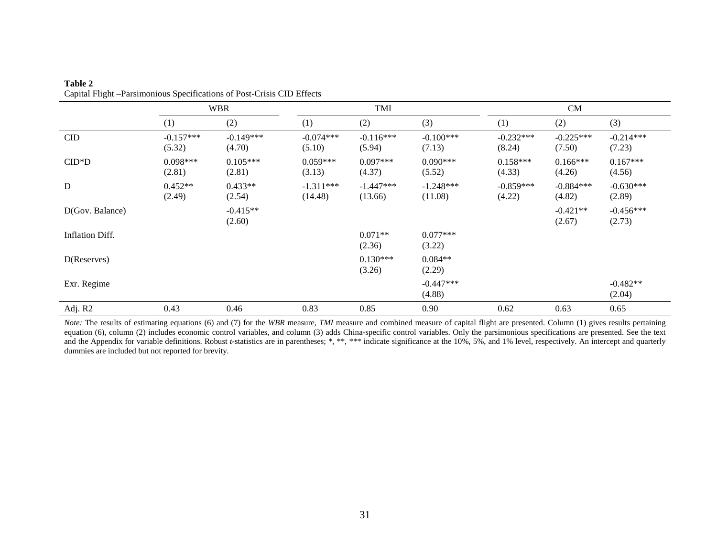|                 | <b>WBR</b>            |                       |                        | TMI                    |                        |                       | CM                    |                       |
|-----------------|-----------------------|-----------------------|------------------------|------------------------|------------------------|-----------------------|-----------------------|-----------------------|
|                 | (1)                   | (2)                   | (1)                    | (2)                    | (3)                    | (1)                   | (2)                   | (3)                   |
| CID             | $-0.157***$<br>(5.32) | $-0.149***$<br>(4.70) | $-0.074***$<br>(5.10)  | $-0.116***$<br>(5.94)  | $-0.100***$<br>(7.13)  | $-0.232***$<br>(8.24) | $-0.225***$<br>(7.50) | $-0.214***$<br>(7.23) |
| $CID*D$         | $0.098***$<br>(2.81)  | $0.105***$<br>(2.81)  | $0.059***$<br>(3.13)   | $0.097***$<br>(4.37)   | $0.090***$<br>(5.52)   | $0.158***$<br>(4.33)  | $0.166***$<br>(4.26)  | $0.167***$<br>(4.56)  |
| $\mathbf D$     | $0.452**$<br>(2.49)   | $0.433**$<br>(2.54)   | $-1.311***$<br>(14.48) | $-1.447***$<br>(13.66) | $-1.248***$<br>(11.08) | $-0.859***$<br>(4.22) | $-0.884***$<br>(4.82) | $-0.630***$<br>(2.89) |
| D(Gov. Balance) |                       | $-0.415**$<br>(2.60)  |                        |                        |                        |                       | $-0.421**$<br>(2.67)  | $-0.456***$<br>(2.73) |
| Inflation Diff. |                       |                       |                        | $0.071**$<br>(2.36)    | $0.077***$<br>(3.22)   |                       |                       |                       |
| D(Reserves)     |                       |                       |                        | $0.130***$<br>(3.26)   | $0.084**$<br>(2.29)    |                       |                       |                       |
| Exr. Regime     |                       |                       |                        |                        | $-0.447***$<br>(4.88)  |                       |                       | $-0.482**$<br>(2.04)  |
| Adj. R2         | 0.43                  | 0.46                  | 0.83                   | 0.85                   | 0.90                   | 0.62                  | 0.63                  | 0.65                  |

#### **Table 2** Capital Flight –Parsimonious Specifications of Post-Crisis CID Effects

*Note:* The results of estimating equations (6) and (7) for the *WBR* measure, *TMI* measure and combined measure of capital flight are presented. Column (1) gives results pertaining equation (6), column (2) includes economic control variables, and column (3) adds China-specific control variables. Only the parsimonious specifications are presented. See the text and the Appendix for variable definitions. Robust *t*-statistics are in parentheses; \*, \*\*, \*\*\* indicate significance at the 10%, 5%, and 1% level, respectively. An intercept and quarterly dummies are included but not reported for brevity.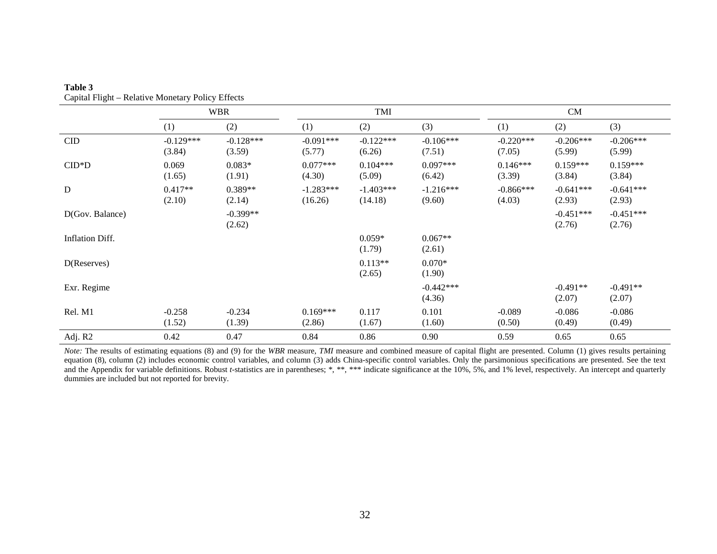|                 |                       | <b>WBR</b>            |                        | TMI                    |                       |                       | CM                    |                       |  |
|-----------------|-----------------------|-----------------------|------------------------|------------------------|-----------------------|-----------------------|-----------------------|-----------------------|--|
|                 | (1)                   | (2)                   | (1)                    | (2)                    | (3)                   | (1)                   | (2)                   | (3)                   |  |
| CID             | $-0.129***$<br>(3.84) | $-0.128***$<br>(3.59) | $-0.091***$<br>(5.77)  | $-0.122***$<br>(6.26)  | $-0.106***$<br>(7.51) | $-0.220***$<br>(7.05) | $-0.206***$<br>(5.99) | $-0.206***$<br>(5.99) |  |
| $CID*D$         | 0.069<br>(1.65)       | $0.083*$<br>(1.91)    | $0.077***$<br>(4.30)   | $0.104***$<br>(5.09)   | $0.097***$<br>(6.42)  | $0.146***$<br>(3.39)  | $0.159***$<br>(3.84)  | $0.159***$<br>(3.84)  |  |
| ${\bf D}$       | $0.417**$<br>(2.10)   | $0.389**$<br>(2.14)   | $-1.283***$<br>(16.26) | $-1.403***$<br>(14.18) | $-1.216***$<br>(9.60) | $-0.866***$<br>(4.03) | $-0.641***$<br>(2.93) | $-0.641***$<br>(2.93) |  |
| D(Gov. Balance) |                       | $-0.399**$<br>(2.62)  |                        |                        |                       |                       | $-0.451***$<br>(2.76) | $-0.451***$<br>(2.76) |  |
| Inflation Diff. |                       |                       |                        | $0.059*$<br>(1.79)     | $0.067**$<br>(2.61)   |                       |                       |                       |  |
| D(Reserves)     |                       |                       |                        | $0.113**$<br>(2.65)    | $0.070*$<br>(1.90)    |                       |                       |                       |  |
| Exr. Regime     |                       |                       |                        |                        | $-0.442***$<br>(4.36) |                       | $-0.491**$<br>(2.07)  | $-0.491**$<br>(2.07)  |  |
| Rel. M1         | $-0.258$<br>(1.52)    | $-0.234$<br>(1.39)    | $0.169***$<br>(2.86)   | 0.117<br>(1.67)        | 0.101<br>(1.60)       | $-0.089$<br>(0.50)    | $-0.086$<br>(0.49)    | $-0.086$<br>(0.49)    |  |
| Adj. R2         | 0.42                  | 0.47                  | 0.84                   | 0.86                   | 0.90                  | 0.59                  | 0.65                  | 0.65                  |  |

**Table 3** Capital Flight – Relative Monetary Policy Effects

*Note:* The results of estimating equations (8) and (9) for the *WBR* measure, *TMI* measure and combined measure of capital flight are presented. Column (1) gives results pertaining equation (8), column (2) includes economic control variables, and column (3) adds China-specific control variables. Only the parsimonious specifications are presented. See the text and the Appendix for variable definitions. Robust *t*-statistics are in parentheses; \*, \*\*, \*\*\* indicate significance at the 10%, 5%, and 1% level, respectively. An intercept and quarterly dummies are included but not reported for brevity.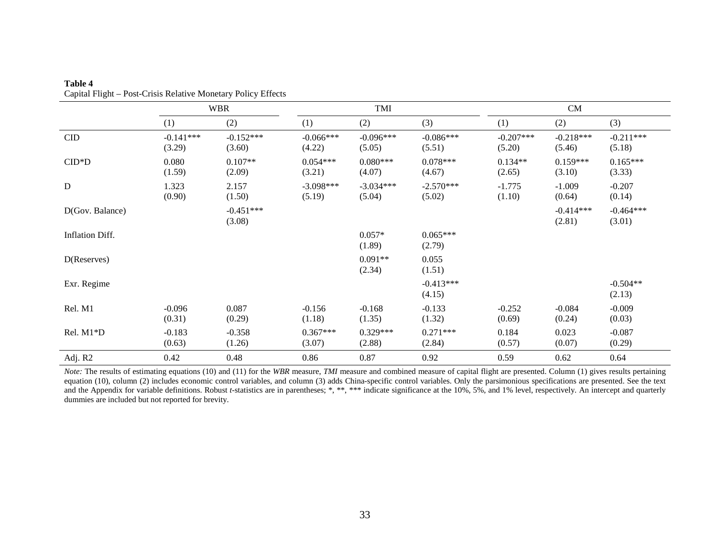|                 |                       | <b>WBR</b>            |                       | TMI                   |                       |                       | CM                    |                       |  |
|-----------------|-----------------------|-----------------------|-----------------------|-----------------------|-----------------------|-----------------------|-----------------------|-----------------------|--|
|                 | (1)                   | (2)                   | (1)                   | (2)                   | (3)                   | (1)                   | (2)                   | (3)                   |  |
| CID             | $-0.141***$<br>(3.29) | $-0.152***$<br>(3.60) | $-0.066***$<br>(4.22) | $-0.096***$<br>(5.05) | $-0.086***$<br>(5.51) | $-0.207***$<br>(5.20) | $-0.218***$<br>(5.46) | $-0.211***$<br>(5.18) |  |
| $CID*D$         | 0.080<br>(1.59)       | $0.107**$<br>(2.09)   | $0.054***$<br>(3.21)  | $0.080***$<br>(4.07)  | $0.078***$<br>(4.67)  | $0.134**$<br>(2.65)   | $0.159***$<br>(3.10)  | $0.165***$<br>(3.33)  |  |
| ${\bf D}$       | 1.323<br>(0.90)       | 2.157<br>(1.50)       | $-3.098***$<br>(5.19) | $-3.034***$<br>(5.04) | $-2.570***$<br>(5.02) | $-1.775$<br>(1.10)    | $-1.009$<br>(0.64)    | $-0.207$<br>(0.14)    |  |
| D(Gov. Balance) |                       | $-0.451***$<br>(3.08) |                       |                       |                       |                       | $-0.414***$<br>(2.81) | $-0.464***$<br>(3.01) |  |
| Inflation Diff. |                       |                       |                       | $0.057*$<br>(1.89)    | $0.065***$<br>(2.79)  |                       |                       |                       |  |
| D(Reserves)     |                       |                       |                       | $0.091**$<br>(2.34)   | 0.055<br>(1.51)       |                       |                       |                       |  |
| Exr. Regime     |                       |                       |                       |                       | $-0.413***$<br>(4.15) |                       |                       | $-0.504**$<br>(2.13)  |  |
| Rel. M1         | $-0.096$<br>(0.31)    | 0.087<br>(0.29)       | $-0.156$<br>(1.18)    | $-0.168$<br>(1.35)    | $-0.133$<br>(1.32)    | $-0.252$<br>(0.69)    | $-0.084$<br>(0.24)    | $-0.009$<br>(0.03)    |  |
| Rel. M1*D       | $-0.183$<br>(0.63)    | $-0.358$<br>(1.26)    | $0.367***$<br>(3.07)  | $0.329***$<br>(2.88)  | $0.271***$<br>(2.84)  | 0.184<br>(0.57)       | 0.023<br>(0.07)       | $-0.087$<br>(0.29)    |  |
| Adj. R2         | 0.42                  | 0.48                  | 0.86                  | 0.87                  | 0.92                  | 0.59                  | 0.62                  | 0.64                  |  |

**Table 4** Capital Flight – Post-Crisis Relative Monetary Policy Effects

*Note:* The results of estimating equations (10) and (11) for the *WBR* measure, *TMI* measure and combined measure of capital flight are presented. Column (1) gives results pertaining equation (10), column (2) includes economic control variables, and column (3) adds China-specific control variables. Only the parsimonious specifications are presented. See the text and the Appendix for variable definitions. Robust *t*-statistics are in parentheses; \*, \*\*, \*\*\* indicate significance at the 10%, 5%, and 1% level, respectively. An intercept and quarterly dummies are included but not reported for brevity.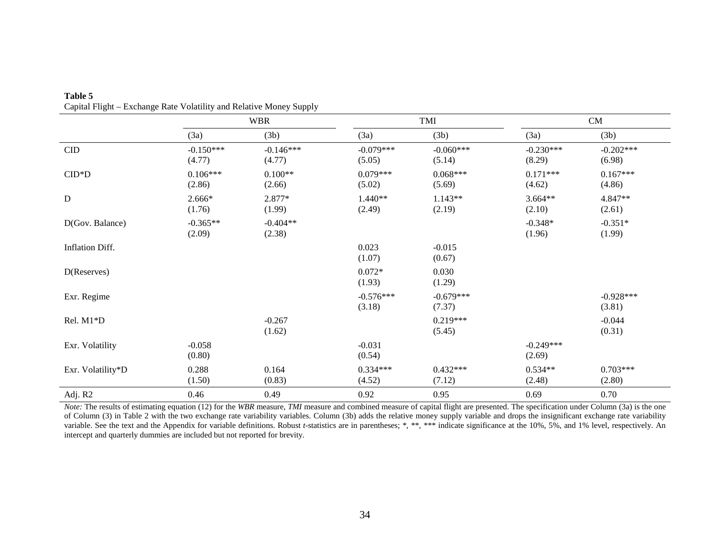|                   |                       | <b>WBR</b>            | TMI                   |                       |                       | CM                    |
|-------------------|-----------------------|-----------------------|-----------------------|-----------------------|-----------------------|-----------------------|
|                   | (3a)                  | (3b)                  | (3a)                  | (3b)                  | (3a)                  | (3b)                  |
| CID               | $-0.150***$<br>(4.77) | $-0.146***$<br>(4.77) | $-0.079***$<br>(5.05) | $-0.060***$<br>(5.14) | $-0.230***$<br>(8.29) | $-0.202***$<br>(6.98) |
| $CID*D$           | $0.106***$<br>(2.86)  | $0.100**$<br>(2.66)   | $0.079***$<br>(5.02)  | $0.068***$<br>(5.69)  | $0.171***$<br>(4.62)  | $0.167***$<br>(4.86)  |
| $\mathbf D$       | 2.666*<br>(1.76)      | 2.877*<br>(1.99)      | $1.440**$<br>(2.49)   | $1.143**$<br>(2.19)   | $3.664**$<br>(2.10)   | 4.847**<br>(2.61)     |
| D(Gov. Balance)   | $-0.365**$<br>(2.09)  | $-0.404**$<br>(2.38)  |                       |                       | $-0.348*$<br>(1.96)   | $-0.351*$<br>(1.99)   |
| Inflation Diff.   |                       |                       | 0.023<br>(1.07)       | $-0.015$<br>(0.67)    |                       |                       |
| D(Reserves)       |                       |                       | $0.072*$<br>(1.93)    | 0.030<br>(1.29)       |                       |                       |
| Exr. Regime       |                       |                       | $-0.576***$<br>(3.18) | $-0.679***$<br>(7.37) |                       | $-0.928***$<br>(3.81) |
| Rel. M1*D         |                       | $-0.267$<br>(1.62)    |                       | $0.219***$<br>(5.45)  |                       | $-0.044$<br>(0.31)    |
| Exr. Volatility   | $-0.058$<br>(0.80)    |                       | $-0.031$<br>(0.54)    |                       | $-0.249***$<br>(2.69) |                       |
| Exr. Volatility*D | 0.288<br>(1.50)       | 0.164<br>(0.83)       | $0.334***$<br>(4.52)  | $0.432***$<br>(7.12)  | $0.534**$<br>(2.48)   | $0.703***$<br>(2.80)  |
| Adj. R2           | 0.46                  | 0.49                  | 0.92                  | 0.95                  | 0.69                  | 0.70                  |

**Table 5** Capital Flight – Exchange Rate Volatility and Relative Money Supply

*Note*: The results of estimating equation (12) for the *WBR* measure, *TMI* measure and combined measure of capital flight are presented. The specification under Column (3a) is the one of Column (3) in Table 2 with the two exchange rate variability variables. Column (3b) adds the relative money supply variable and drops the insignificant exchange rate variability variable. See the text and the Appendix for variable definitions. Robust *t*-statistics are in parentheses; \*, \*\*, \*\*\* indicate significance at the 10%, 5%, and 1% level, respectively. An intercept and quarterly dummies are included but not reported for brevity.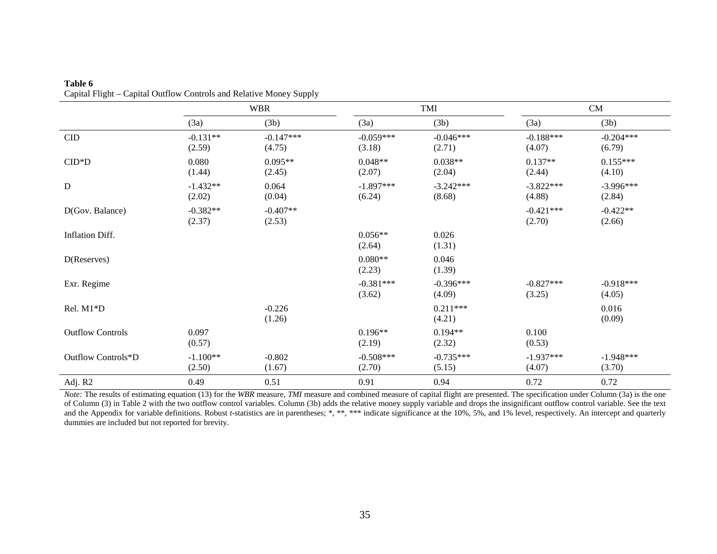|                         | <b>WBR</b>           |                       |                       | TMI                   |                       | CM                    |  |
|-------------------------|----------------------|-----------------------|-----------------------|-----------------------|-----------------------|-----------------------|--|
|                         | (3a)                 | (3b)                  | (3a)                  | (3b)                  | (3a)                  | (3b)                  |  |
| CID                     | $-0.131**$<br>(2.59) | $-0.147***$<br>(4.75) | $-0.059***$<br>(3.18) | $-0.046***$<br>(2.71) | $-0.188***$<br>(4.07) | $-0.204***$<br>(6.79) |  |
| $CID*D$                 | 0.080<br>(1.44)      | $0.095**$<br>(2.45)   | $0.048**$<br>(2.07)   | $0.038**$<br>(2.04)   | $0.137**$<br>(2.44)   | $0.155***$<br>(4.10)  |  |
| D                       | $-1.432**$<br>(2.02) | 0.064<br>(0.04)       | $-1.897***$<br>(6.24) | $-3.242***$<br>(8.68) | $-3.822***$<br>(4.88) | $-3.996***$<br>(2.84) |  |
| D(Gov. Balance)         | $-0.382**$<br>(2.37) | $-0.407**$<br>(2.53)  |                       |                       | $-0.421***$<br>(2.70) | $-0.422**$<br>(2.66)  |  |
| Inflation Diff.         |                      |                       | $0.056**$<br>(2.64)   | 0.026<br>(1.31)       |                       |                       |  |
| D(Reserves)             |                      |                       | $0.080**$<br>(2.23)   | 0.046<br>(1.39)       |                       |                       |  |
| Exr. Regime             |                      |                       | $-0.381***$<br>(3.62) | $-0.396***$<br>(4.09) | $-0.827***$<br>(3.25) | $-0.918***$<br>(4.05) |  |
| Rel. M1*D               |                      | $-0.226$<br>(1.26)    |                       | $0.211***$<br>(4.21)  |                       | 0.016<br>(0.09)       |  |
| <b>Outflow Controls</b> | 0.097<br>(0.57)      |                       | $0.196**$<br>(2.19)   | $0.194**$<br>(2.32)   | 0.100<br>(0.53)       |                       |  |
| Outflow Controls*D      | $-1.100**$<br>(2.50) | $-0.802$<br>(1.67)    | $-0.508***$<br>(2.70) | $-0.735***$<br>(5.15) | $-1.937***$<br>(4.07) | $-1.948***$<br>(3.70) |  |
| Adj. R2                 | 0.49                 | 0.51                  | 0.91                  | 0.94                  | 0.72                  | 0.72                  |  |

**Table 6** Capital Flight – Capital Outflow Controls and Relative Money Supply

*Note:* The results of estimating equation (13) for the *WBR* measure, *TMI* measure and combined measure of capital flight are presented. The specification under Column (3a) is the one of Column (3) in Table 2 with the two outflow control variables. Column (3b) adds the relative money supply variable and drops the insignificant outflow control variable. See the text and the Appendix for variable definitions. Robust *t*-statistics are in parentheses; \*, \*\*, \*\*\* indicate significance at the 10%, 5%, and 1% level, respectively. An intercept and quarterly dummies are included but not reported for brevity.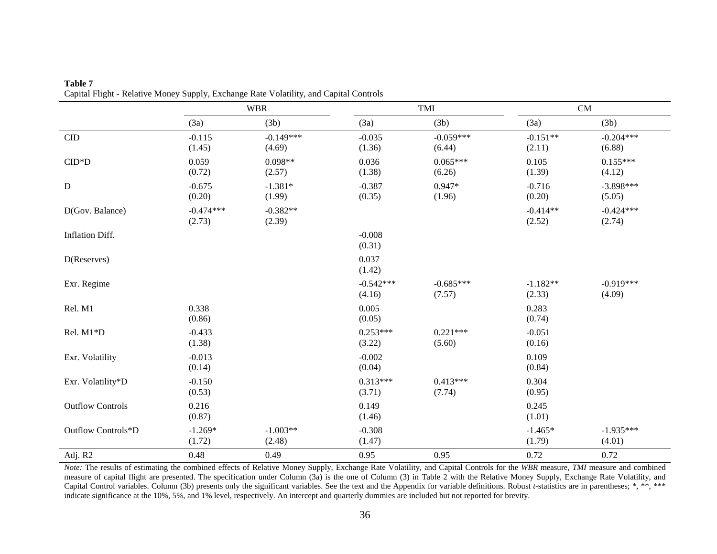|                         | <b>WBR</b>            |                       |                       | TMI                   |                      | CM                    |  |
|-------------------------|-----------------------|-----------------------|-----------------------|-----------------------|----------------------|-----------------------|--|
|                         | (3a)                  | (3b)                  | (3a)                  | (3b)                  | (3a)                 | (3b)                  |  |
| CID                     | $-0.115$<br>(1.45)    | $-0.149***$<br>(4.69) | $-0.035$<br>(1.36)    | $-0.059***$<br>(6.44) | $-0.151**$<br>(2.11) | $-0.204***$<br>(6.88) |  |
| $CID*D$                 | 0.059<br>(0.72)       | $0.098**$<br>(2.57)   | 0.036<br>(1.38)       | $0.065***$<br>(6.26)  | 0.105<br>(1.39)      | $0.155***$<br>(4.12)  |  |
| ${\bf D}$               | $-0.675$<br>(0.20)    | $-1.381*$<br>(1.99)   | $-0.387$<br>(0.35)    | $0.947*$<br>(1.96)    | $-0.716$<br>(0.20)   | $-3.898***$<br>(5.05) |  |
| D(Gov. Balance)         | $-0.474***$<br>(2.73) | $-0.382**$<br>(2.39)  |                       |                       | $-0.414**$<br>(2.52) | $-0.424***$<br>(2.74) |  |
| Inflation Diff.         |                       |                       | $-0.008$<br>(0.31)    |                       |                      |                       |  |
| D(Reserves)             |                       |                       | 0.037<br>(1.42)       |                       |                      |                       |  |
| Exr. Regime             |                       |                       | $-0.542***$<br>(4.16) | $-0.685***$<br>(7.57) | $-1.182**$<br>(2.33) | $-0.919***$<br>(4.09) |  |
| Rel. M1                 | 0.338<br>(0.86)       |                       | 0.005<br>(0.05)       |                       | 0.283<br>(0.74)      |                       |  |
| Rel. M1*D               | $-0.433$<br>(1.38)    |                       | $0.253***$<br>(3.22)  | $0.221***$<br>(5.60)  | $-0.051$<br>(0.16)   |                       |  |
| Exr. Volatility         | $-0.013$<br>(0.14)    |                       | $-0.002$<br>(0.04)    |                       | 0.109<br>(0.84)      |                       |  |
| Exr. Volatility*D       | $-0.150$<br>(0.53)    |                       | $0.313***$<br>(3.71)  | $0.413***$<br>(7.74)  | 0.304<br>(0.95)      |                       |  |
| <b>Outflow Controls</b> | 0.216<br>(0.87)       |                       | 0.149<br>(1.46)       |                       | 0.245<br>(1.01)      |                       |  |
| Outflow Controls*D      | $-1.269*$<br>(1.72)   | $-1.003**$<br>(2.48)  | $-0.308$<br>(1.47)    |                       | $-1.465*$<br>(1.79)  | $-1.935***$<br>(4.01) |  |
| Adj. R2                 | 0.48                  | 0.49                  | 0.95                  | 0.95                  | 0.72                 | 0.72                  |  |

**Table 7** Capital Flight - Relative Money Supply, Exchange Rate Volatility, and Capital Controls

*Note:* The results of estimating the combined effects of Relative Money Supply, Exchange Rate Volatility, and Capital Controls for the *WBR* measure, *TMI* measure and combined measure of capital flight are presented. The specification under Column (3a) is the one of Column (3) in Table 2 with the Relative Money Supply, Exchange Rate Volatility, and Capital Control variables. Column (3b) presents only the significant variables. See the text and the Appendix for variable definitions. Robust *t*-statistics are in parentheses; \*, \*\*, \*\*\* indicate significance at the 10%, 5%, and 1% level, respectively. An intercept and quarterly dummies are included but not reported for brevity.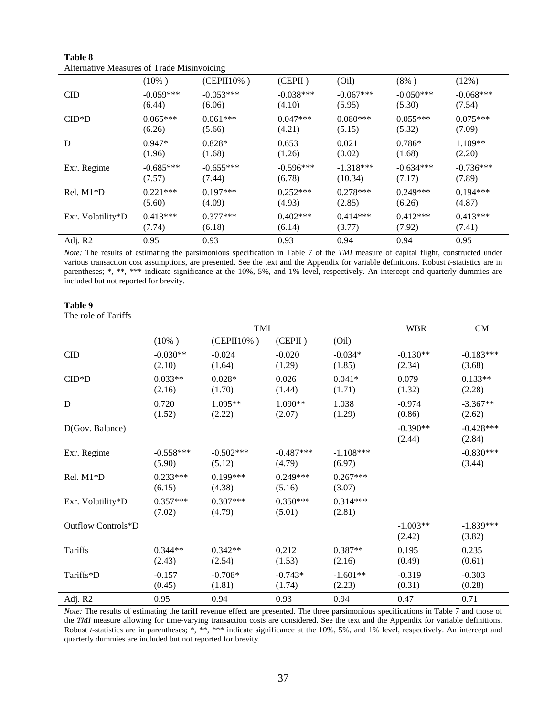|                   | $(10\%)$    | $(CEPII10\%)$ | (CEPII)     | (Oil)       | $(8\%)$     | (12%)       |  |
|-------------------|-------------|---------------|-------------|-------------|-------------|-------------|--|
| <b>CID</b>        | $-0.059***$ | $-0.053***$   | $-0.038***$ | $-0.067***$ | $-0.050***$ | $-0.068***$ |  |
|                   | (6.44)      | (6.06)        | (4.10)      | (5.95)      | (5.30)      | (7.54)      |  |
| $CID*D$           | $0.065***$  | $0.061***$    | $0.047***$  | $0.080***$  | $0.055***$  | $0.075***$  |  |
|                   | (6.26)      | (5.66)        | (4.21)      | (5.15)      | (5.32)      | (7.09)      |  |
| D                 | $0.947*$    | $0.828*$      | 0.653       | 0.021       | $0.786*$    | $1.109**$   |  |
|                   | (1.96)      | (1.68)        | (1.26)      | (0.02)      | (1.68)      | (2.20)      |  |
| Exr. Regime       | $-0.685***$ | $-0.655***$   | $-0.596***$ | $-1.318***$ | $-0.634***$ | $-0.736***$ |  |
|                   | (7.57)      | (7.44)        | (6.78)      | (10.34)     | (7.17)      | (7.89)      |  |
| $Rel. M1*D$       | $0.221***$  | $0.197***$    | $0.252***$  | $0.278***$  | $0.249***$  | $0.194***$  |  |
|                   | (5.60)      | (4.09)        | (4.93)      | (2.85)      | (6.26)      | (4.87)      |  |
| Exr. Volatility*D | $0.413***$  | $0.377***$    | $0.402***$  | $0.414***$  | $0.412***$  | $0.413***$  |  |
|                   | (7.74)      | (6.18)        | (6.14)      | (3.77)      | (7.92)      | (7.41)      |  |
| Adj. R2           | 0.95        | 0.93          | 0.93        | 0.94        | 0.94        | 0.95        |  |

**Table 8** Alternative Measures of Trade Misinvoicing

*Note:* The results of estimating the parsimonious specification in Table 7 of the *TMI* measure of capital flight, constructed under various transaction cost assumptions, are presented. See the text and the Appendix for variable definitions. Robust *t*-statistics are in parentheses; \*, \*\*, \*\*\* indicate significance at the 10%, 5%, and 1% level, respectively. An intercept and quarterly dummies are included but not reported for brevity.

#### **Table 9**

The role of Tariffs

|                    |                       | TMI                   |                       | <b>WBR</b>            | <b>CM</b>            |                       |
|--------------------|-----------------------|-----------------------|-----------------------|-----------------------|----------------------|-----------------------|
|                    | $(10\%)$              | (CEPII10%)            | (CEPII)               | (Oil)                 |                      |                       |
| <b>CID</b>         | $-0.030**$<br>(2.10)  | $-0.024$<br>(1.64)    | $-0.020$<br>(1.29)    | $-0.034*$<br>(1.85)   | $-0.130**$<br>(2.34) | $-0.183***$<br>(3.68) |
| $CID*D$            | $0.033**$<br>(2.16)   | $0.028*$<br>(1.70)    | 0.026<br>(1.44)       | $0.041*$<br>(1.71)    | 0.079<br>(1.32)      | $0.133**$<br>(2.28)   |
| D                  | 0.720<br>(1.52)       | 1.095**<br>(2.22)     | 1.090**<br>(2.07)     | 1.038<br>(1.29)       | $-0.974$<br>(0.86)   | $-3.367**$<br>(2.62)  |
| D(Gov. Balance)    |                       |                       |                       |                       | $-0.390**$<br>(2.44) | $-0.428***$<br>(2.84) |
| Exr. Regime        | $-0.558***$<br>(5.90) | $-0.502***$<br>(5.12) | $-0.487***$<br>(4.79) | $-1.108***$<br>(6.97) |                      | $-0.830***$<br>(3.44) |
| Rel. M1*D          | $0.233***$<br>(6.15)  | $0.199***$<br>(4.38)  | $0.249***$<br>(5.16)  | $0.267***$<br>(3.07)  |                      |                       |
| Exr. Volatility*D  | $0.357***$<br>(7.02)  | $0.307***$<br>(4.79)  | $0.350***$<br>(5.01)  | $0.314***$<br>(2.81)  |                      |                       |
| Outflow Controls*D |                       |                       |                       |                       | $-1.003**$<br>(2.42) | $-1.839***$<br>(3.82) |
| Tariffs            | $0.344**$<br>(2.43)   | $0.342**$<br>(2.54)   | 0.212<br>(1.53)       | $0.387**$<br>(2.16)   | 0.195<br>(0.49)      | 0.235<br>(0.61)       |
| Tariffs*D          | $-0.157$<br>(0.45)    | $-0.708*$<br>(1.81)   | $-0.743*$<br>(1.74)   | $-1.601**$<br>(2.23)  | $-0.319$<br>(0.31)   | $-0.303$<br>(0.28)    |
| Adj. R2            | 0.95                  | 0.94                  | 0.93                  | 0.94                  | 0.47                 | 0.71                  |

*Note:* The results of estimating the tariff revenue effect are presented. The three parsimonious specifications in Table 7 and those of the *TMI* measure allowing for time-varying transaction costs are considered. See the text and the Appendix for variable definitions. Robust *t*-statistics are in parentheses; \*, \*\*, \*\*\* indicate significance at the 10%, 5%, and 1% level, respectively. An intercept and quarterly dummies are included but not reported for brevity.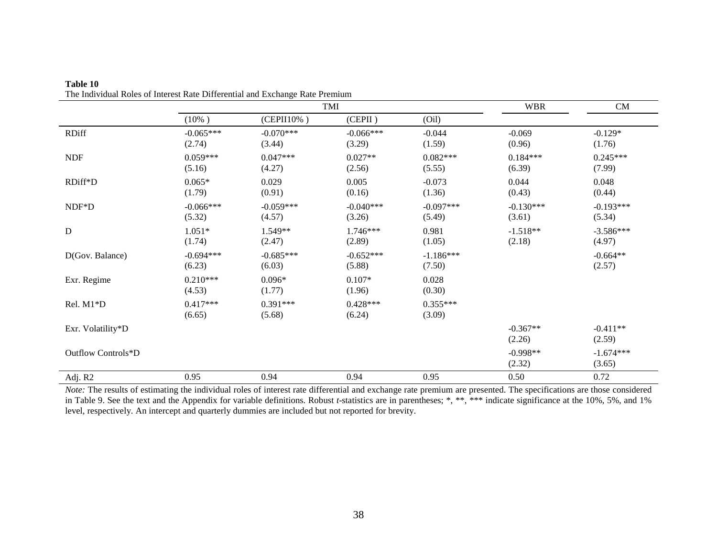|                    | TMI                   |                       |                       |                       | <b>WBR</b>            | CM                    |
|--------------------|-----------------------|-----------------------|-----------------------|-----------------------|-----------------------|-----------------------|
|                    | $(10\%)$              | (CEPII10%)            | (CEPII)               | (Oil)                 |                       |                       |
| <b>RDiff</b>       | $-0.065***$<br>(2.74) | $-0.070***$<br>(3.44) | $-0.066***$<br>(3.29) | $-0.044$<br>(1.59)    | $-0.069$<br>(0.96)    | $-0.129*$<br>(1.76)   |
| <b>NDF</b>         | $0.059***$<br>(5.16)  | $0.047***$<br>(4.27)  | $0.027**$<br>(2.56)   | $0.082***$<br>(5.55)  | $0.184***$<br>(6.39)  | $0.245***$<br>(7.99)  |
| RDiff*D            | $0.065*$<br>(1.79)    | 0.029<br>(0.91)       | 0.005<br>(0.16)       | $-0.073$<br>(1.36)    | 0.044<br>(0.43)       | 0.048<br>(0.44)       |
| $NDF*D$            | $-0.066***$<br>(5.32) | $-0.059***$<br>(4.57) | $-0.040***$<br>(3.26) | $-0.097***$<br>(5.49) | $-0.130***$<br>(3.61) | $-0.193***$<br>(5.34) |
| ${\bf D}$          | $1.051*$<br>(1.74)    | 1.549**<br>(2.47)     | 1.746***<br>(2.89)    | 0.981<br>(1.05)       | $-1.518**$<br>(2.18)  | $-3.586***$<br>(4.97) |
| D(Gov. Balance)    | $-0.694***$<br>(6.23) | $-0.685***$<br>(6.03) | $-0.652***$<br>(5.88) | $-1.186***$<br>(7.50) |                       | $-0.664**$<br>(2.57)  |
| Exr. Regime        | $0.210***$<br>(4.53)  | $0.096*$<br>(1.77)    | $0.107*$<br>(1.96)    | 0.028<br>(0.30)       |                       |                       |
| Rel. M1*D          | $0.417***$<br>(6.65)  | $0.391***$<br>(5.68)  | $0.428***$<br>(6.24)  | $0.355***$<br>(3.09)  |                       |                       |
| Exr. Volatility*D  |                       |                       |                       |                       | $-0.367**$<br>(2.26)  | $-0.411**$<br>(2.59)  |
| Outflow Controls*D |                       |                       |                       |                       | $-0.998**$<br>(2.32)  | $-1.674***$<br>(3.65) |
| Adj. R2            | 0.95                  | 0.94                  | 0.94                  | 0.95                  | 0.50                  | 0.72                  |

**Table 10** The Individual Roles of Interest Rate Differential and Exchange Rate Premium

*Note:* The results of estimating the individual roles of interest rate differential and exchange rate premium are presented. The specifications are those considered in Table 9. See the text and the Appendix for variable definitions. Robust *t*-statistics are in parentheses; \*, \*\*, \*\*\* indicate significance at the 10%, 5%, and 1% level, respectively. An intercept and quarterly dummies are included but not reported for brevity.